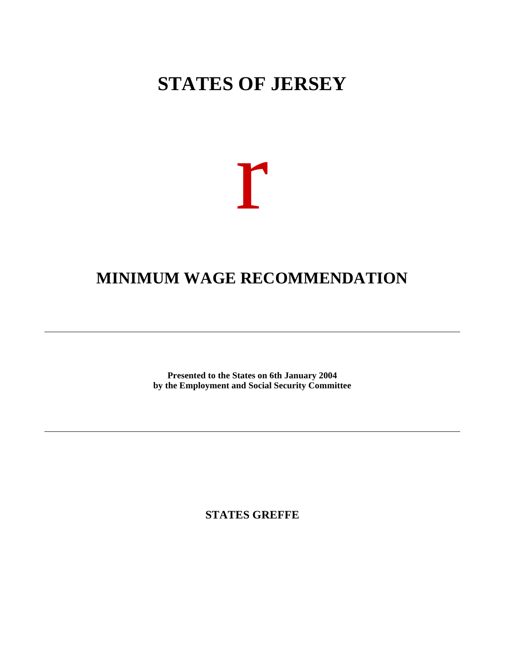# **STATES OF JERSEY**



# **MINIMUM WAGE RECOMMENDATION**

**Presented to the States on 6th January 2004 by the Employment and Social Security Committee**

**STATES GREFFE**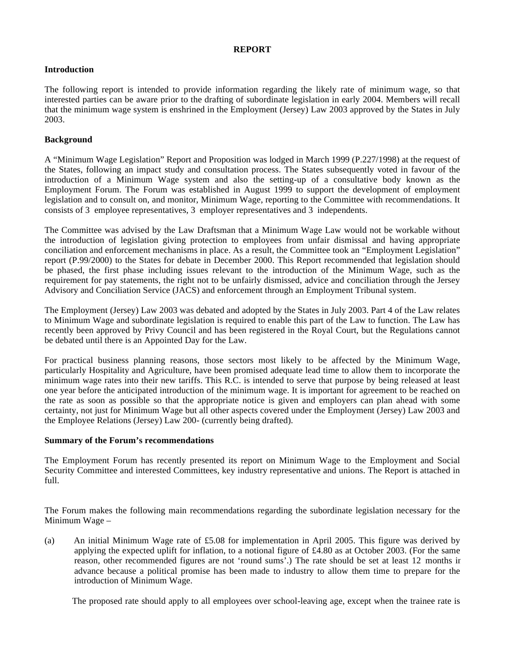## **REPORT**

## **Introduction**

The following report is intended to provide information regarding the likely rate of minimum wage, so that interested parties can be aware prior to the drafting of subordinate legislation in early 2004. Members will recall that the minimum wage system is enshrined in the Employment (Jersey) Law 2003 approved by the States in July 2003.

## **Background**

A "Minimum Wage Legislation" Report and Proposition was lodged in March 1999 (P.227/1998) at the request of the States, following an impact study and consultation process. The States subsequently voted in favour of the introduction of a Minimum Wage system and also the setting-up of a consultative body known as the Employment Forum. The Forum was established in August 1999 to support the development of employment legislation and to consult on, and monitor, Minimum Wage, reporting to the Committee with recommendations. It consists of 3 employee representatives, 3 employer representatives and 3 independents.

The Committee was advised by the Law Draftsman that a Minimum Wage Law would not be workable without the introduction of legislation giving protection to employees from unfair dismissal and having appropriate conciliation and enforcement mechanisms in place. As a result, the Committee took an "Employment Legislation" report (P.99/2000) to the States for debate in December 2000. This Report recommended that legislation should be phased, the first phase including issues relevant to the introduction of the Minimum Wage, such as the requirement for pay statements, the right not to be unfairly dismissed, advice and conciliation through the Jersey Advisory and Conciliation Service (JACS) and enforcement through an Employment Tribunal system.

The Employment (Jersey) Law 2003 was debated and adopted by the States in July 2003. Part 4 of the Law relates to Minimum Wage and subordinate legislation is required to enable this part of the Law to function. The Law has recently been approved by Privy Council and has been registered in the Royal Court, but the Regulations cannot be debated until there is an Appointed Day for the Law.

For practical business planning reasons, those sectors most likely to be affected by the Minimum Wage, particularly Hospitality and Agriculture, have been promised adequate lead time to allow them to incorporate the minimum wage rates into their new tariffs. This R.C. is intended to serve that purpose by being released at least one year before the anticipated introduction of the minimum wage. It is important for agreement to be reached on the rate as soon as possible so that the appropriate notice is given and employers can plan ahead with some certainty, not just for Minimum Wage but all other aspects covered under the Employment (Jersey) Law 2003 and the Employee Relations (Jersey) Law 200- (currently being drafted).

## **Summary of the Forum's recommendations**

The Employment Forum has recently presented its report on Minimum Wage to the Employment and Social Security Committee and interested Committees, key industry representative and unions. The Report is attached in full.

The Forum makes the following main recommendations regarding the subordinate legislation necessary for the Minimum Wage –

(a) An initial Minimum Wage rate of £5.08 for implementation in April 2005. This figure was derived by applying the expected uplift for inflation, to a notional figure of £4.80 as at October 2003. (For the same reason, other recommended figures are not 'round sums'.) The rate should be set at least 12 months in advance because a political promise has been made to industry to allow them time to prepare for the introduction of Minimum Wage.

The proposed rate should apply to all employees over school-leaving age, except when the trainee rate is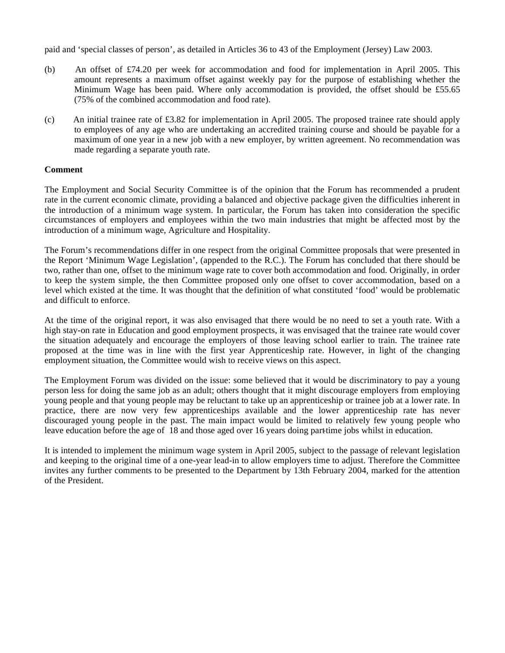paid and 'special classes of person', as detailed in Articles 36 to 43 of the Employment (Jersey) Law 2003.

- (b) An offset of £74.20 per week for accommodation and food for implementation in April 2005. This amount represents a maximum offset against weekly pay for the purpose of establishing whether the Minimum Wage has been paid. Where only accommodation is provided, the offset should be £55.65 (75% of the combined accommodation and food rate).
- (c) An initial trainee rate of £3.82 for implementation in April 2005. The proposed trainee rate should apply to employees of any age who are undertaking an accredited training course and should be payable for a maximum of one year in a new job with a new employer, by written agreement. No recommendation was made regarding a separate youth rate.

## **Comment**

The Employment and Social Security Committee is of the opinion that the Forum has recommended a prudent rate in the current economic climate, providing a balanced and objective package given the difficulties inherent in the introduction of a minimum wage system. In particular, the Forum has taken into consideration the specific circumstances of employers and employees within the two main industries that might be affected most by the introduction of a minimum wage, Agriculture and Hospitality.

The Forum's recommendations differ in one respect from the original Committee proposals that were presented in the Report 'Minimum Wage Legislation', (appended to the R.C.). The Forum has concluded that there should be two, rather than one, offset to the minimum wage rate to cover both accommodation and food. Originally, in order to keep the system simple, the then Committee proposed only one offset to cover accommodation, based on a level which existed at the time. It was thought that the definition of what constituted 'food' would be problematic and difficult to enforce.

At the time of the original report, it was also envisaged that there would be no need to set a youth rate. With a high stay-on rate in Education and good employment prospects, it was envisaged that the trainee rate would cover the situation adequately and encourage the employers of those leaving school earlier to train. The trainee rate proposed at the time was in line with the first year Apprenticeship rate. However, in light of the changing employment situation, the Committee would wish to receive views on this aspect.

The Employment Forum was divided on the issue: some believed that it would be discriminatory to pay a young person less for doing the same job as an adult; others thought that it might discourage employers from employing young people and that young people may be reluctant to take up an apprenticeship or trainee job at a lower rate. In practice, there are now very few apprenticeships available and the lower apprenticeship rate has never discouraged young people in the past. The main impact would be limited to relatively few young people who leave education before the age of 18 and those aged over 16 years doing part-time jobs whilst in education.

It is intended to implement the minimum wage system in April 2005, subject to the passage of relevant legislation and keeping to the original time of a one-year lead-in to allow employers time to adjust. Therefore the Committee invites any further comments to be presented to the Department by 13th February 2004, marked for the attention of the President.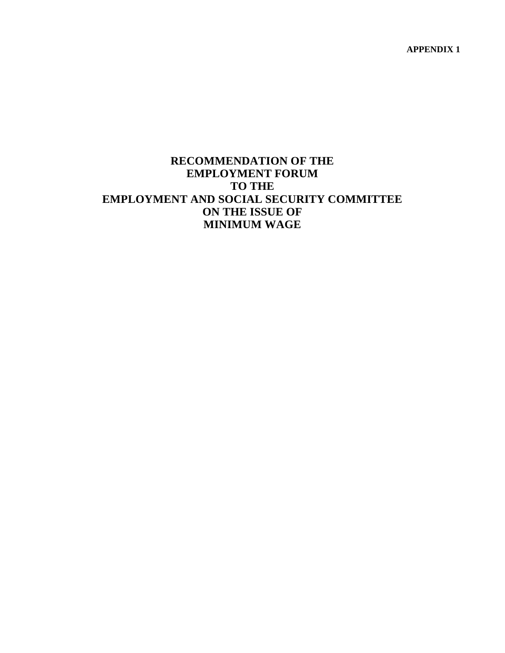**APPENDIX 1**

# **RECOMMENDATION OF THE EMPLOYMENT FORUM TO THE EMPLOYMENT AND SOCIAL SECURITY COMMITTEE ON THE ISSUE OF MINIMUM WAGE**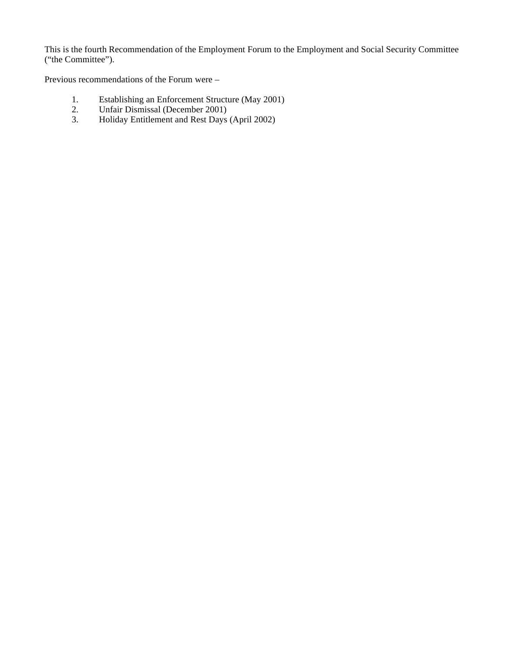This is the fourth Recommendation of the Employment Forum to the Employment and Social Security Committee ("the Committee").

Previous recommendations of the Forum were –

- 1. Establishing an Enforcement Structure (May 2001)
- 2. Unfair Dismissal (December 2001)
	- 3. Holiday Entitlement and Rest Days (April 2002)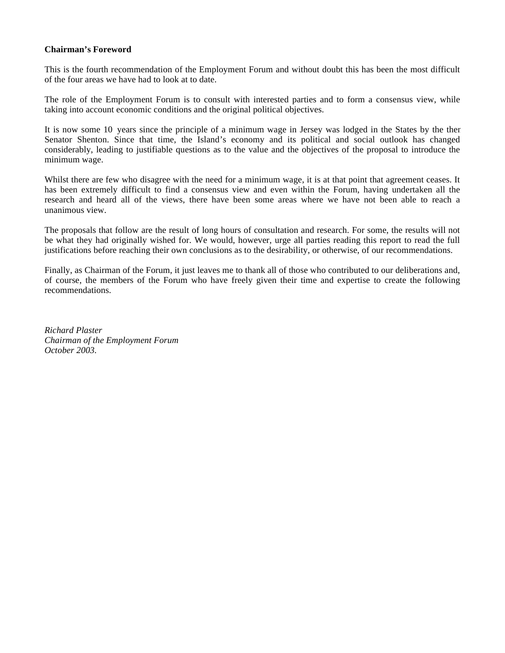## **Chairman's Foreword**

This is the fourth recommendation of the Employment Forum and without doubt this has been the most difficult of the four areas we have had to look at to date.

The role of the Employment Forum is to consult with interested parties and to form a consensus view, while taking into account economic conditions and the original political objectives.

It is now some 10 years since the principle of a minimum wage in Jersey was lodged in the States by the then Senator Shenton. Since that time, the Island's economy and its political and social outlook has changed considerably, leading to justifiable questions as to the value and the objectives of the proposal to introduce the minimum wage.

Whilst there are few who disagree with the need for a minimum wage, it is at that point that agreement ceases. It has been extremely difficult to find a consensus view and even within the Forum, having undertaken all the research and heard all of the views, there have been some areas where we have not been able to reach a unanimous view.

The proposals that follow are the result of long hours of consultation and research. For some, the results will not be what they had originally wished for. We would, however, urge all parties reading this report to read the full justifications before reaching their own conclusions as to the desirability, or otherwise, of our recommendations.

Finally, as Chairman of the Forum, it just leaves me to thank all of those who contributed to our deliberations and, of course, the members of the Forum who have freely given their time and expertise to create the following recommendations.

*Richard Plaster Chairman of the Employment Forum October 2003.*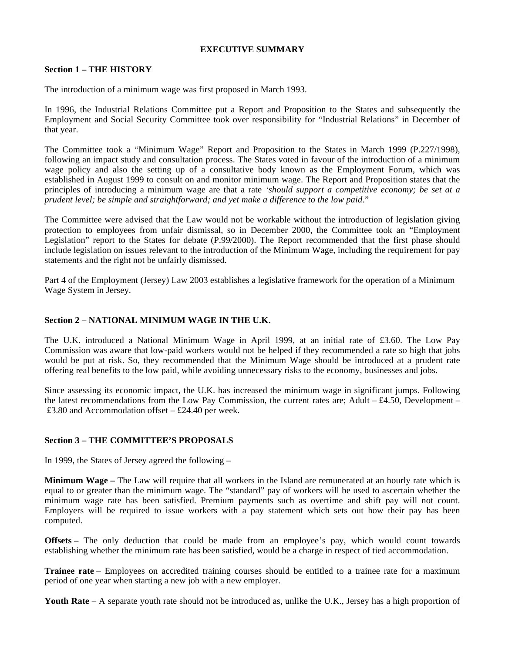## **EXECUTIVE SUMMARY**

## **Section 1 – THE HISTORY**

The introduction of a minimum wage was first proposed in March 1993.

In 1996, the Industrial Relations Committee put a Report and Proposition to the States and subsequently the Employment and Social Security Committee took over responsibility for "Industrial Relations" in December of that year.

The Committee took a "Minimum Wage" Report and Proposition to the States in March 1999 (P.227/1998), following an impact study and consultation process. The States voted in favour of the introduction of a minimum wage policy and also the setting up of a consultative body known as the Employment Forum, which was established in August 1999 to consult on and monitor minimum wage. The Report and Proposition states that the principles of introducing a minimum wage are that a rate *'should support a competitive economy; be set at a prudent level; be simple and straightforward; and yet make a difference to the low paid*."

The Committee were advised that the Law would not be workable without the introduction of legislation giving protection to employees from unfair dismissal, so in December 2000, the Committee took an "Employment Legislation" report to the States for debate (P.99/2000). The Report recommended that the first phase should include legislation on issues relevant to the introduction of the Minimum Wage, including the requirement for pay statements and the right not be unfairly dismissed.

Part 4 of the Employment (Jersey) Law 2003 establishes a legislative framework for the operation of a Minimum Wage System in Jersey.

## **Section 2 – NATIONAL MINIMUM WAGE IN THE U.K.**

The U.K. introduced a National Minimum Wage in April 1999, at an initial rate of £3.60. The Low Pay Commission was aware that low-paid workers would not be helped if they recommended a rate so high that jobs would be put at risk. So, they recommended that the Minimum Wage should be introduced at a prudent rate offering real benefits to the low paid, while avoiding unnecessary risks to the economy, businesses and jobs.

Since assessing its economic impact, the U.K. has increased the minimum wage in significant jumps. Following the latest recommendations from the Low Pay Commission, the current rates are: Adult  $-£4.50$ , Development – £3.80 and Accommodation offset – £24.40 per week.

## **Section 3 – THE COMMITTEE'S PROPOSALS**

In 1999, the States of Jersey agreed the following –

**Minimum Wage –** The Law will require that all workers in the Island are remunerated at an hourly rate which is equal to or greater than the minimum wage. The "standard" pay of workers will be used to ascertain whether the minimum wage rate has been satisfied. Premium payments such as overtime and shift pay will not count. Employers will be required to issue workers with a pay statement which sets out how their pay has been computed.

**Offsets** – The only deduction that could be made from an employee's pay, which would count towards establishing whether the minimum rate has been satisfied, would be a charge in respect of tied accommodation.

**Trainee rate** – Employees on accredited training courses should be entitled to a trainee rate for a maximum period of one year when starting a new job with a new employer.

**Youth Rate** – A separate youth rate should not be introduced as, unlike the U.K., Jersey has a high proportion of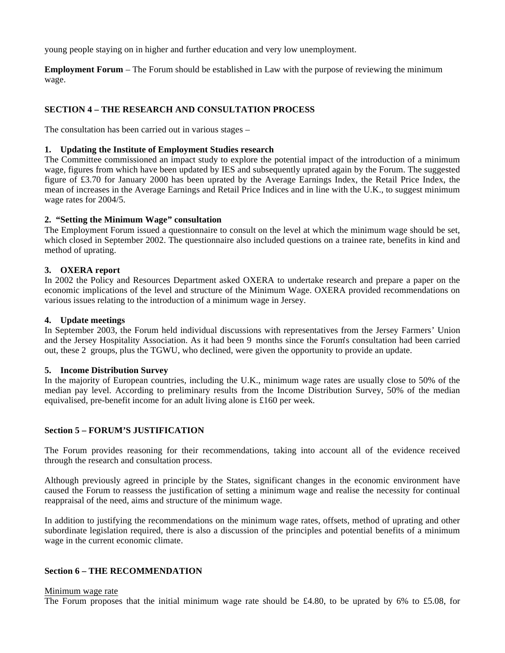young people staying on in higher and further education and very low unemployment.

**Employment Forum** – The Forum should be established in Law with the purpose of reviewing the minimum wage.

# **SECTION 4 – THE RESEARCH AND CONSULTATION PROCESS**

The consultation has been carried out in various stages –

## **1. Updating the Institute of Employment Studies research**

The Committee commissioned an impact study to explore the potential impact of the introduction of a minimum wage, figures from which have been updated by IES and subsequently uprated again by the Forum. The suggested figure of £3.70 for January 2000 has been uprated by the Average Earnings Index, the Retail Price Index, the mean of increases in the Average Earnings and Retail Price Indices and in line with the U.K., to suggest minimum wage rates for 2004/5.

## **2. "Setting the Minimum Wage" consultation**

The Employment Forum issued a questionnaire to consult on the level at which the minimum wage should be set, which closed in September 2002. The questionnaire also included questions on a trainee rate, benefits in kind and method of uprating.

## **3. OXERA report**

In 2002 the Policy and Resources Department asked OXERA to undertake research and prepare a paper on the economic implications of the level and structure of the Minimum Wage. OXERA provided recommendations on various issues relating to the introduction of a minimum wage in Jersey.

## **4. Update meetings**

In September 2003, the Forum held individual discussions with representatives from the Jersey Farmers' Union and the Jersey Hospitality Association. As it had been 9 months since the Forum's consultation had been carried out, these 2 groups, plus the TGWU, who declined, were given the opportunity to provide an update.

## **5. Income Distribution Survey**

In the majority of European countries, including the U.K., minimum wage rates are usually close to 50% of the median pay level. According to preliminary results from the Income Distribution Survey, 50% of the median equivalised, pre-benefit income for an adult living alone is £160 per week.

## **Section 5 – FORUM'S JUSTIFICATION**

The Forum provides reasoning for their recommendations, taking into account all of the evidence received through the research and consultation process.

Although previously agreed in principle by the States, significant changes in the economic environment have caused the Forum to reassess the justification of setting a minimum wage and realise the necessity for continual reappraisal of the need, aims and structure of the minimum wage.

In addition to justifying the recommendations on the minimum wage rates, offsets, method of uprating and other subordinate legislation required, there is also a discussion of the principles and potential benefits of a minimum wage in the current economic climate.

## **Section 6 – THE RECOMMENDATION**

#### Minimum wage rate

The Forum proposes that the initial minimum wage rate should be £4.80, to be uprated by 6% to £5.08, for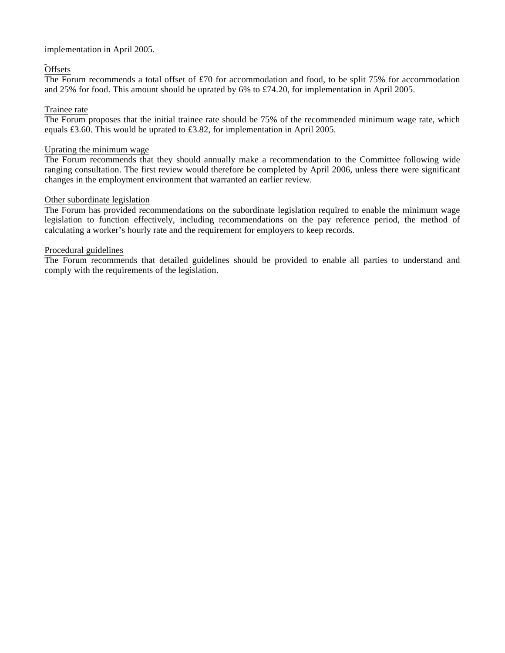## implementation in April 2005.

## **Offsets**

The Forum recommends a total offset of £70 for accommodation and food, to be split 75% for accommodation and 25% for food. This amount should be uprated by 6% to £74.20, for implementation in April 2005.

## Trainee rate

The Forum proposes that the initial trainee rate should be 75% of the recommended minimum wage rate, which equals £3.60. This would be uprated to £3.82, for implementation in April 2005.

## Uprating the minimum wage

The Forum recommends that they should annually make a recommendation to the Committee following wide ranging consultation. The first review would therefore be completed by April 2006, unless there were significant changes in the employment environment that warranted an earlier review.

## Other subordinate legislation

The Forum has provided recommendations on the subordinate legislation required to enable the minimum wage legislation to function effectively, including recommendations on the pay reference period, the method of calculating a worker's hourly rate and the requirement for employers to keep records.

## Procedural guidelines

The Forum recommends that detailed guidelines should be provided to enable all parties to understand and comply with the requirements of the legislation.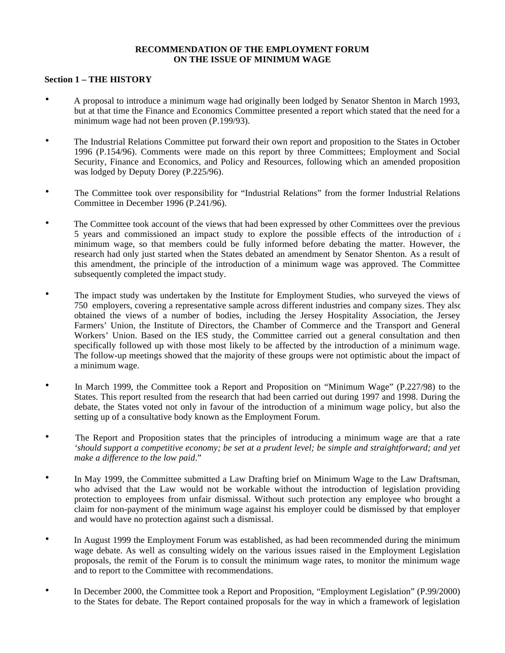## **RECOMMENDATION OF THE EMPLOYMENT FORUM ON THE ISSUE OF MINIMUM WAGE**

## **Section 1 – THE HISTORY**

- A proposal to introduce a minimum wage had originally been lodged by Senator Shenton in March 1993, but at that time the Finance and Economics Committee presented a report which stated that the need for a minimum wage had not been proven (P.199/93).
- The Industrial Relations Committee put forward their own report and proposition to the States in October 1996 (P.154/96). Comments were made on this report by three Committees; Employment and Social Security, Finance and Economics, and Policy and Resources, following which an amended proposition was lodged by Deputy Dorey (P.225/96).
- The Committee took over responsibility for "Industrial Relations" from the former Industrial Relations Committee in December 1996 (P.241/96).
- The Committee took account of the views that had been expressed by other Committees over the previous 5 years and commissioned an impact study to explore the possible effects of the introduction of  $\epsilon$ minimum wage, so that members could be fully informed before debating the matter. However, the research had only just started when the States debated an amendment by Senator Shenton. As a result of this amendment, the principle of the introduction of a minimum wage was approved. The Committee subsequently completed the impact study.
- The impact study was undertaken by the Institute for Employment Studies, who surveyed the views of 750 employers, covering a representative sample across different industries and company sizes. They also obtained the views of a number of bodies, including the Jersey Hospitality Association, the Jersey Farmers' Union, the Institute of Directors, the Chamber of Commerce and the Transport and General Workers' Union. Based on the IES study, the Committee carried out a general consultation and then specifically followed up with those most likely to be affected by the introduction of a minimum wage. The follow-up meetings showed that the majority of these groups were not optimistic about the impact of a minimum wage.
- In March 1999, the Committee took a Report and Proposition on "Minimum Wage" (P.227/98) to the States. This report resulted from the research that had been carried out during 1997 and 1998. During the debate, the States voted not only in favour of the introduction of a minimum wage policy, but also the setting up of a consultative body known as the Employment Forum.
- The Report and Proposition states that the principles of introducing a minimum wage are that a rate *'should support a competitive economy; be set at a prudent level; be simple and straightforward; and yet make a difference to the low paid*."
- In May 1999, the Committee submitted a Law Drafting brief on Minimum Wage to the Law Draftsman, who advised that the Law would not be workable without the introduction of legislation providing protection to employees from unfair dismissal. Without such protection any employee who brought a claim for non-payment of the minimum wage against his employer could be dismissed by that employer and would have no protection against such a dismissal.
- In August 1999 the Employment Forum was established, as had been recommended during the minimum wage debate. As well as consulting widely on the various issues raised in the Employment Legislation proposals, the remit of the Forum is to consult the minimum wage rates, to monitor the minimum wage and to report to the Committee with recommendations.
- In December 2000, the Committee took a Report and Proposition, "Employment Legislation" (P.99/2000) to the States for debate. The Report contained proposals for the way in which a framework of legislation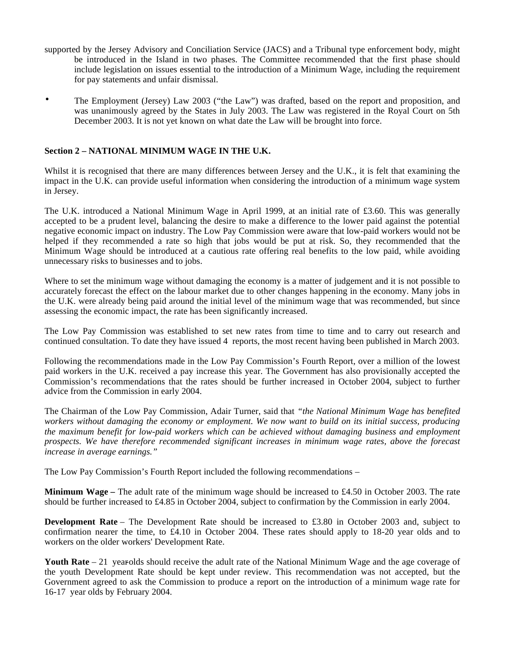- supported by the Jersey Advisory and Conciliation Service (JACS) and a Tribunal type enforcement body, might be introduced in the Island in two phases. The Committee recommended that the first phase should include legislation on issues essential to the introduction of a Minimum Wage, including the requirement for pay statements and unfair dismissal.
- The Employment (Jersey) Law 2003 ("the Law") was drafted, based on the report and proposition, and was unanimously agreed by the States in July 2003. The Law was registered in the Royal Court on 5th December 2003. It is not yet known on what date the Law will be brought into force.

## **Section 2 – NATIONAL MINIMUM WAGE IN THE U.K.**

Whilst it is recognised that there are many differences between Jersey and the U.K., it is felt that examining the impact in the U.K. can provide useful information when considering the introduction of a minimum wage system in Jersey.

The U.K. introduced a National Minimum Wage in April 1999, at an initial rate of £3.60. This was generally accepted to be a prudent level, balancing the desire to make a difference to the lower paid against the potential negative economic impact on industry. The Low Pay Commission were aware that low-paid workers would not be helped if they recommended a rate so high that jobs would be put at risk. So, they recommended that the Minimum Wage should be introduced at a cautious rate offering real benefits to the low paid, while avoiding unnecessary risks to businesses and to jobs.

Where to set the minimum wage without damaging the economy is a matter of judgement and it is not possible to accurately forecast the effect on the labour market due to other changes happening in the economy. Many jobs in the U.K. were already being paid around the initial level of the minimum wage that was recommended, but since assessing the economic impact, the rate has been significantly increased.

The Low Pay Commission was established to set new rates from time to time and to carry out research and continued consultation. To date they have issued 4 reports, the most recent having been published in March 2003.

Following the recommendations made in the Low Pay Commission's Fourth Report, over a million of the lowest paid workers in the U.K. received a pay increase this year. The Government has also provisionally accepted the Commission's recommendations that the rates should be further increased in October 2004, subject to further advice from the Commission in early 2004.

The Chairman of the Low Pay Commission, Adair Turner, said that *"the National Minimum Wage has benefited workers without damaging the economy or employment. We now want to build on its initial success, producing the maximum benefit for low-paid workers which can be achieved without damaging business and employment prospects. We have therefore recommended significant increases in minimum wage rates, above the forecast increase in average earnings."*

The Low Pay Commission's Fourth Report included the following recommendations –

**Minimum Wage –** The adult rate of the minimum wage should be increased to £4.50 in October 2003. The rate should be further increased to £4.85 in October 2004, subject to confirmation by the Commission in early 2004.

**Development Rate** – The Development Rate should be increased to £3.80 in October 2003 and, subject to confirmation nearer the time, to £4.10 in October 2004. These rates should apply to 18-20 year olds and to workers on the older workers' Development Rate.

**Youth Rate** – 21 year-olds should receive the adult rate of the National Minimum Wage and the age coverage of the youth Development Rate should be kept under review. This recommendation was not accepted, but the Government agreed to ask the Commission to produce a report on the introduction of a minimum wage rate for 16-17 year olds by February 2004.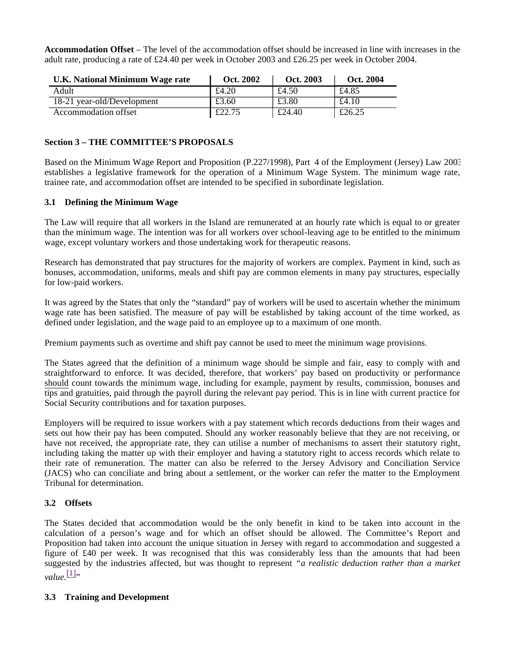**Accommodation Offset** – The level of the accommodation offset should be increased in line with increases in the adult rate, producing a rate of £24.40 per week in October 2003 and £26.25 per week in October 2004.

| U.K. National Minimum Wage rate | Oct. 2002 | Oct. 2003 | Oct. 2004 |
|---------------------------------|-----------|-----------|-----------|
| Adult                           | £4.20     | £4.50     | £4.85     |
| 18-21 year-old/Development      | £3.60     | £3.80     | £4.10     |
| Accommodation offset            | £22.75    | £24.40    | £26.25    |

## **Section 3 – THE COMMITTEE'S PROPOSALS**

Based on the Minimum Wage Report and Proposition (P.227/1998), Part 4 of the Employment (Jersey) Law 2003 establishes a legislative framework for the operation of a Minimum Wage System. The minimum wage rate, trainee rate, and accommodation offset are intended to be specified in subordinate legislation.

## **3.1 Defining the Minimum Wage**

The Law will require that all workers in the Island are remunerated at an hourly rate which is equal to or greater than the minimum wage. The intention was for all workers over school-leaving age to be entitled to the minimum wage, except voluntary workers and those undertaking work for therapeutic reasons.

Research has demonstrated that pay structures for the majority of workers are complex. Payment in kind, such as bonuses, accommodation, uniforms, meals and shift pay are common elements in many pay structures, especially for low-paid workers.

It was agreed by the States that only the "standard" pay of workers will be used to ascertain whether the minimum wage rate has been satisfied. The measure of pay will be established by taking account of the time worked, as defined under legislation, and the wage paid to an employee up to a maximum of one month.

Premium payments such as overtime and shift pay cannot be used to meet the minimum wage provisions.

The States agreed that the definition of a minimum wage should be simple and fair, easy to comply with and straightforward to enforce. It was decided, therefore, that workers' pay based on productivity or performance should count towards the minimum wage, including for example, payment by results, commission, bonuses and tips and gratuities, paid through the payroll during the relevant pay period. This is in line with current practice for Social Security contributions and for taxation purposes.

Employers will be required to issue workers with a pay statement which records deductions from their wages and sets out how their pay has been computed. Should any worker reasonably believe that they are not receiving, or have not received, the appropriate rate, they can utilise a number of mechanisms to assert their statutory right, including taking the matter up with their employer and having a statutory right to access records which relate to their rate of remuneration. The matter can also be referred to the Jersey Advisory and Conciliation Service (JACS) who can conciliate and bring about a settlement, or the worker can refer the matter to the Employment Tribunal for determination.

## **3.2 Offsets**

The States decided that accommodation would be the only benefit in kind to be taken into account in the calculation of a person's wage and for which an offset should be allowed. The Committee's Report and Proposition had taken into account the unique situation in Jersey with regard to accommodation and suggested a figure of £40 per week. It was recognised that this was considerably less than the amounts that had been suggested by the industries affected, but was thought to represent *"a realistic deduction rather than a market*  $value$ <sup>[1]</sup>"

## **3.3 Training and Development**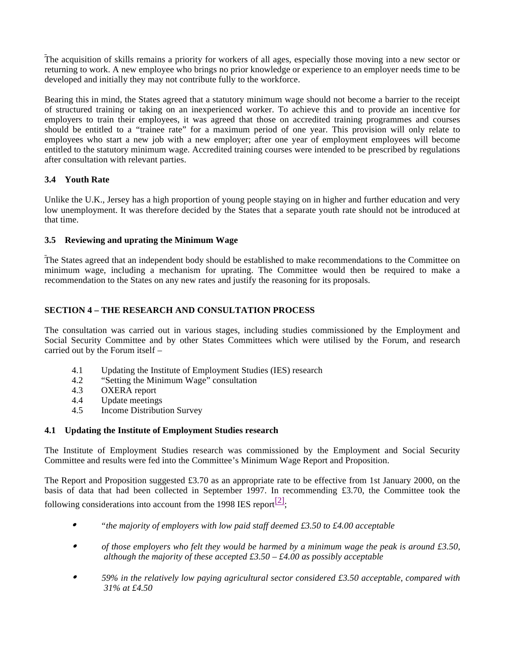The acquisition of skills remains a priority for workers of all ages, especially those moving into a new sector or returning to work. A new employee who brings no prior knowledge or experience to an employer needs time to be developed and initially they may not contribute fully to the workforce.

Bearing this in mind, the States agreed that a statutory minimum wage should not become a barrier to the receipt of structured training or taking on an inexperienced worker. To achieve this and to provide an incentive for employers to train their employees, it was agreed that those on accredited training programmes and courses should be entitled to a "trainee rate" for a maximum period of one year. This provision will only relate to employees who start a new job with a new employer; after one year of employment employees will become entitled to the statutory minimum wage. Accredited training courses were intended to be prescribed by regulations after consultation with relevant parties.

# **3.4 Youth Rate**

Unlike the U.K., Jersey has a high proportion of young people staying on in higher and further education and very low unemployment. It was therefore decided by the States that a separate youth rate should not be introduced at that time.

# **3.5 Reviewing and uprating the Minimum Wage**

The States agreed that an independent body should be established to make recommendations to the Committee on minimum wage, including a mechanism for uprating. The Committee would then be required to make a recommendation to the States on any new rates and justify the reasoning for its proposals.

# **SECTION 4 – THE RESEARCH AND CONSULTATION PROCESS**

The consultation was carried out in various stages, including studies commissioned by the Employment and Social Security Committee and by other States Committees which were utilised by the Forum, and research carried out by the Forum itself –

- 4.1 Updating the Institute of Employment Studies (IES) research
- 4.2 "Setting the Minimum Wage" consultation<br>4.3 OXERA report
- OXERA report
- 4.4 Update meetings
- 4.5 Income Distribution Survey

# **4.1 Updating the Institute of Employment Studies research**

The Institute of Employment Studies research was commissioned by the Employment and Social Security Committee and results were fed into the Committee's Minimum Wage Report and Proposition.

The Report and Proposition suggested £3.70 as an appropriate rate to be effective from 1st January 2000, on the basis of data that had been collected in September 1997. In recommending £3.70, the Committee took the following considerations into account from the 1998 IES report $\frac{[2]}{2}$ ;

- *"the majority of employers with low paid staff deemed £3.50 to £4.00 acceptable*
- *of those employers who felt they would be harmed by a minimum wage the peak is around £3.50, although the majority of these accepted £3.50 – £4.00 as possibly acceptable*
- *59% in the relatively low paying agricultural sector considered £3.50 acceptable, compared with 31% at £4.50*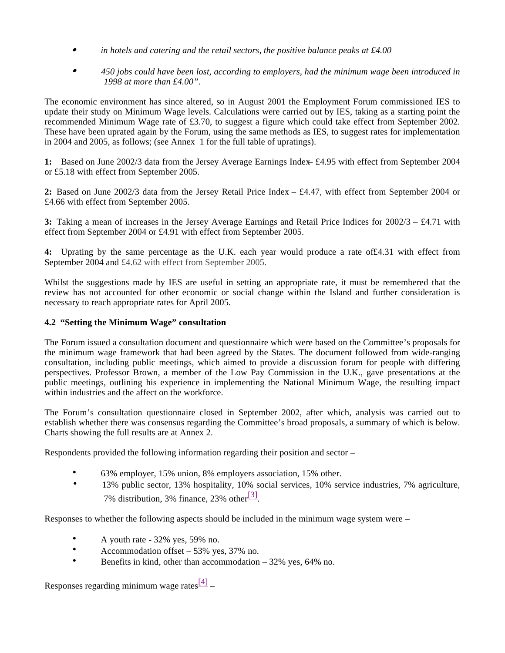- *in hotels and catering and the retail sectors, the positive balance peaks at £4.00*
- *450 jobs could have been lost, according to employers, had the minimum wage been introduced in 1998 at more than £4.00".*

The economic environment has since altered, so in August 2001 the Employment Forum commissioned IES to update their study on Minimum Wage levels. Calculations were carried out by IES, taking as a starting point the recommended Minimum Wage rate of £3.70, to suggest a figure which could take effect from September 2002. These have been uprated again by the Forum, using the same methods as IES, to suggest rates for implementation in 2004 and 2005, as follows; (see Annex 1 for the full table of upratings).

**1:** Based on June 2002/3 data from the Jersey Average Earnings Index – £4.95 with effect from September 2004 or £5.18 with effect from September 2005.

**2:** Based on June 2002/3 data from the Jersey Retail Price Index – £4.47, with effect from September 2004 or £4.66 with effect from September 2005.

**3:** Taking a mean of increases in the Jersey Average Earnings and Retail Price Indices for 2002/3 – £4.71 with effect from September 2004 or £4.91 with effect from September 2005.

**4:** Uprating by the same percentage as the U.K. each year would produce a rate of£4.31 with effect from September 2004 and £4.62 with effect from September 2005.

Whilst the suggestions made by IES are useful in setting an appropriate rate, it must be remembered that the review has not accounted for other economic or social change within the Island and further consideration is necessary to reach appropriate rates for April 2005.

## **4.2 "Setting the Minimum Wage" consultation**

The Forum issued a consultation document and questionnaire which were based on the Committee's proposals for the minimum wage framework that had been agreed by the States. The document followed from wide-ranging consultation, including public meetings, which aimed to provide a discussion forum for people with differing perspectives. Professor Brown, a member of the Low Pay Commission in the U.K., gave presentations at the public meetings, outlining his experience in implementing the National Minimum Wage, the resulting impact within industries and the affect on the workforce.

The Forum's consultation questionnaire closed in September 2002, after which, analysis was carried out to establish whether there was consensus regarding the Committee's broad proposals, a summary of which is below. Charts showing the full results are at Annex 2.

Respondents provided the following information regarding their position and sector –

- 63% employer, 15% union, 8% employers association, 15% other.
- 13% public sector, 13% hospitality, 10% social services, 10% service industries, 7% agriculture, 7% distribution, 3% finance, 23% other $\frac{[3]}{[3]}$ .

Responses to whether the following aspects should be included in the minimum wage system were –

- A youth rate 32% yes, 59% no.
- Accommodation offset 53% yes, 37% no.
- Benefits in kind, other than accommodation 32% yes, 64% no.

Responses regarding minimum wage rates $\frac{[4]}{]}$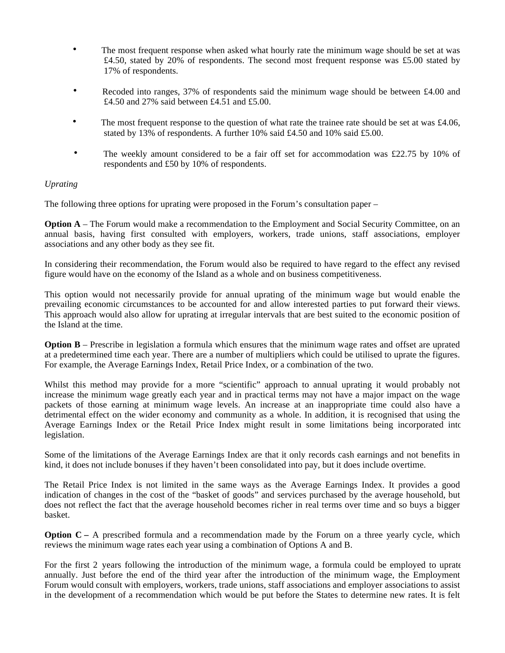- The most frequent response when asked what hourly rate the minimum wage should be set at was £4.50, stated by 20% of respondents. The second most frequent response was £5.00 stated by 17% of respondents.
- Recoded into ranges, 37% of respondents said the minimum wage should be between £4.00 and £4.50 and 27% said between £4.51 and £5.00.
- The most frequent response to the question of what rate the trainee rate should be set at was £4.06, stated by 13% of respondents. A further 10% said £4.50 and 10% said £5.00.
- The weekly amount considered to be a fair off set for accommodation was £22.75 by 10% of respondents and £50 by 10% of respondents.

# *Uprating*

The following three options for uprating were proposed in the Forum's consultation paper –

**Option A** – The Forum would make a recommendation to the Employment and Social Security Committee, on an annual basis, having first consulted with employers, workers, trade unions, staff associations, employer associations and any other body as they see fit.

In considering their recommendation, the Forum would also be required to have regard to the effect any revised figure would have on the economy of the Island as a whole and on business competitiveness.

This option would not necessarily provide for annual uprating of the minimum wage but would enable the prevailing economic circumstances to be accounted for and allow interested parties to put forward their views. This approach would also allow for uprating at irregular intervals that are best suited to the economic position of the Island at the time.

**Option B** – Prescribe in legislation a formula which ensures that the minimum wage rates and offset are uprated at a predetermined time each year. There are a number of multipliers which could be utilised to uprate the figures. For example, the Average Earnings Index, Retail Price Index, or a combination of the two.

Whilst this method may provide for a more "scientific" approach to annual uprating it would probably not increase the minimum wage greatly each year and in practical terms may not have a major impact on the wage packets of those earning at minimum wage levels. An increase at an inappropriate time could also have a detrimental effect on the wider economy and community as a whole. In addition, it is recognised that using the Average Earnings Index or the Retail Price Index might result in some limitations being incorporated into legislation.

Some of the limitations of the Average Earnings Index are that it only records cash earnings and not benefits in kind, it does not include bonuses if they haven't been consolidated into pay, but it does include overtime.

The Retail Price Index is not limited in the same ways as the Average Earnings Index. It provides a good indication of changes in the cost of the "basket of goods" and services purchased by the average household, but does not reflect the fact that the average household becomes richer in real terms over time and so buys a bigger basket.

**Option C – A prescribed formula and a recommendation made by the Forum on a three yearly cycle, which** reviews the minimum wage rates each year using a combination of Options A and B.

For the first 2 years following the introduction of the minimum wage, a formula could be employed to uprate annually. Just before the end of the third year after the introduction of the minimum wage, the Employment Forum would consult with employers, workers, trade unions, staff associations and employer associations to assist in the development of a recommendation which would be put before the States to determine new rates. It is felt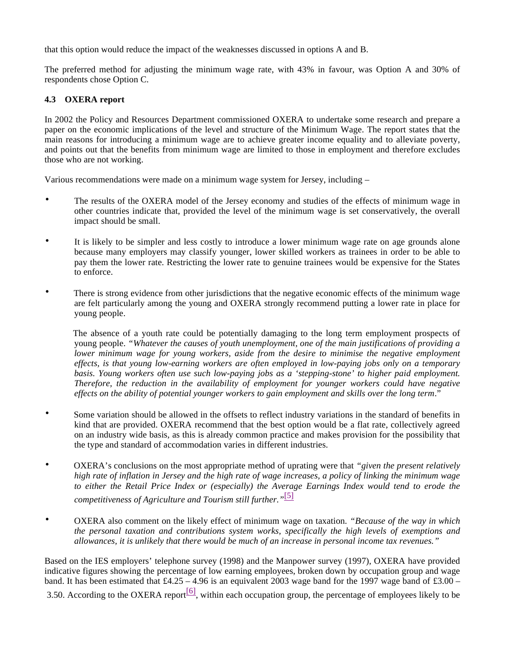that this option would reduce the impact of the weaknesses discussed in options A and B.

The preferred method for adjusting the minimum wage rate, with 43% in favour, was Option A and 30% of respondents chose Option C.

# **4.3 OXERA report**

In 2002 the Policy and Resources Department commissioned OXERA to undertake some research and prepare a paper on the economic implications of the level and structure of the Minimum Wage. The report states that the main reasons for introducing a minimum wage are to achieve greater income equality and to alleviate poverty, and points out that the benefits from minimum wage are limited to those in employment and therefore excludes those who are not working.

Various recommendations were made on a minimum wage system for Jersey, including –

- The results of the OXERA model of the Jersey economy and studies of the effects of minimum wage in other countries indicate that, provided the level of the minimum wage is set conservatively, the overall impact should be small.
- It is likely to be simpler and less costly to introduce a lower minimum wage rate on age grounds alone because many employers may classify younger, lower skilled workers as trainees in order to be able to pay them the lower rate. Restricting the lower rate to genuine trainees would be expensive for the States to enforce.
- There is strong evidence from other jurisdictions that the negative economic effects of the minimum wage are felt particularly among the young and OXERA strongly recommend putting a lower rate in place for young people.

 The absence of a youth rate could be potentially damaging to the long term employment prospects of young people. *"Whatever the causes of youth unemployment, one of the main justifications of providing a lower minimum wage for young workers, aside from the desire to minimise the negative employment effects, is that young low-earning workers are often employed in low-paying jobs only on a temporary basis. Young workers often use such low-paying jobs as a 'stepping-stone' to higher paid employment. Therefore, the reduction in the availability of employment for younger workers could have negative effects on the ability of potential younger workers to gain employment and skills over the long term*."

- Some variation should be allowed in the offsets to reflect industry variations in the standard of benefits in kind that are provided. OXERA recommend that the best option would be a flat rate, collectively agreed on an industry wide basis, as this is already common practice and makes provision for the possibility that the type and standard of accommodation varies in different industries.
- OXERA's conclusions on the most appropriate method of uprating were that *"given the present relatively high rate of inflation in Jersey and the high rate of wage increases, a policy of linking the minimum wage to either the Retail Price Index or (especially) the Average Earnings Index would tend to erode the competitiveness of Agriculture and Tourism still further."* [5]
- OXERA also comment on the likely effect of minimum wage on taxation. *"Because of the way in which the personal taxation and contributions system works, specifically the high levels of exemptions and allowances, it is unlikely that there would be much of an increase in personal income tax revenues."*

Based on the IES employers' telephone survey (1998) and the Manpower survey (1997), OXERA have provided indicative figures showing the percentage of low earning employees, broken down by occupation group and wage band. It has been estimated that  $\text{\pounds}4.25 - 4.96$  is an equivalent 2003 wage band for the 1997 wage band of  $\text{\pounds}3.00 -$ 

3.50. According to the OXERA report<sup>[6]</sup>, within each occupation group, the percentage of employees likely to be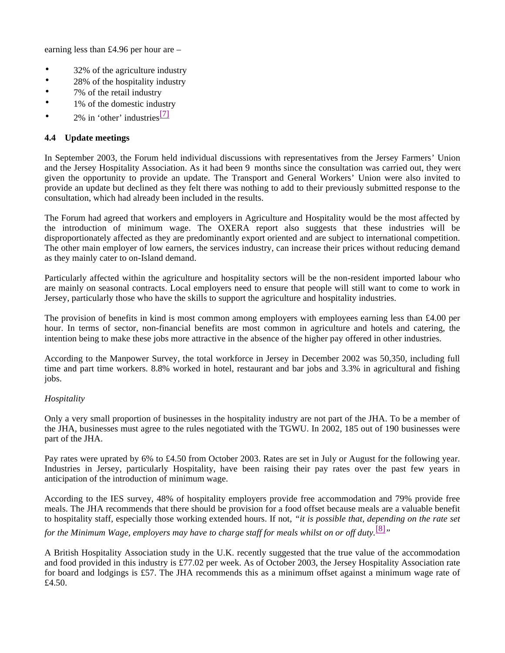earning less than £4.96 per hour are –

- 32% of the agriculture industry
- 28% of the hospitality industry
- 7% of the retail industry
- 1% of the domestic industry
- 2% in 'other' industries $\frac{[7]}{]}$

## **4.4 Update meetings**

In September 2003, the Forum held individual discussions with representatives from the Jersey Farmers' Union and the Jersey Hospitality Association. As it had been 9 months since the consultation was carried out, they were given the opportunity to provide an update. The Transport and General Workers' Union were also invited to provide an update but declined as they felt there was nothing to add to their previously submitted response to the consultation, which had already been included in the results.

The Forum had agreed that workers and employers in Agriculture and Hospitality would be the most affected by the introduction of minimum wage. The OXERA report also suggests that these industries will be disproportionately affected as they are predominantly export oriented and are subject to international competition. The other main employer of low earners, the services industry, can increase their prices without reducing demand as they mainly cater to on-Island demand.

Particularly affected within the agriculture and hospitality sectors will be the non-resident imported labour who are mainly on seasonal contracts. Local employers need to ensure that people will still want to come to work in Jersey, particularly those who have the skills to support the agriculture and hospitality industries.

The provision of benefits in kind is most common among employers with employees earning less than £4.00 per hour. In terms of sector, non-financial benefits are most common in agriculture and hotels and catering, the intention being to make these jobs more attractive in the absence of the higher pay offered in other industries.

According to the Manpower Survey, the total workforce in Jersey in December 2002 was 50,350, including full time and part time workers. 8.8% worked in hotel, restaurant and bar jobs and 3.3% in agricultural and fishing jobs.

## *Hospitality*

Only a very small proportion of businesses in the hospitality industry are not part of the JHA. To be a member of the JHA, businesses must agree to the rules negotiated with the TGWU. In 2002, 185 out of 190 businesses were part of the JHA.

Pay rates were uprated by 6% to £4.50 from October 2003. Rates are set in July or August for the following year. Industries in Jersey, particularly Hospitality, have been raising their pay rates over the past few years in anticipation of the introduction of minimum wage.

According to the IES survey, 48% of hospitality employers provide free accommodation and 79% provide free meals. The JHA recommends that there should be provision for a food offset because meals are a valuable benefit to hospitality staff, especially those working extended hours. If not, *"it is possible that, depending on the rate set for the Minimum Wage, employers may have to charge staff for meals whilst on or off duty.*[8]*"*

A British Hospitality Association study in the U.K. recently suggested that the true value of the accommodation and food provided in this industry is £77.02 per week. As of October 2003, the Jersey Hospitality Association rate for board and lodgings is £57. The JHA recommends this as a minimum offset against a minimum wage rate of £4.50.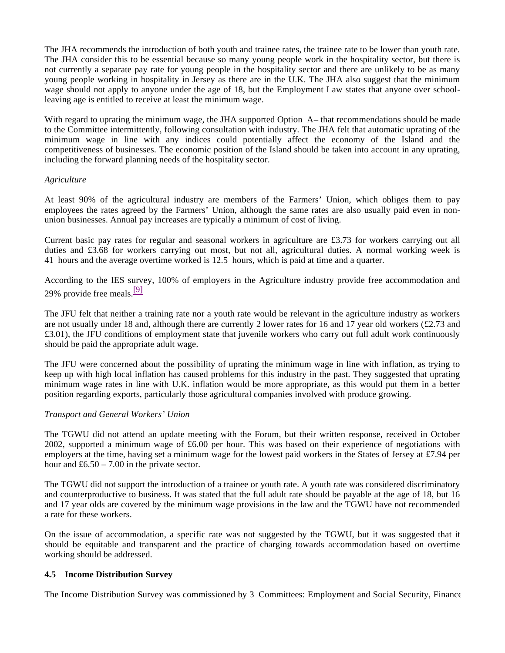The JHA recommends the introduction of both youth and trainee rates, the trainee rate to be lower than youth rate. The JHA consider this to be essential because so many young people work in the hospitality sector, but there is not currently a separate pay rate for young people in the hospitality sector and there are unlikely to be as many young people working in hospitality in Jersey as there are in the U.K. The JHA also suggest that the minimum wage should not apply to anyone under the age of 18, but the Employment Law states that anyone over schoolleaving age is entitled to receive at least the minimum wage.

With regard to uprating the minimum wage, the JHA supported Option A– that recommendations should be made to the Committee intermittently, following consultation with industry. The JHA felt that automatic uprating of the minimum wage in line with any indices could potentially affect the economy of the Island and the competitiveness of businesses. The economic position of the Island should be taken into account in any uprating, including the forward planning needs of the hospitality sector.

## *Agriculture*

At least 90% of the agricultural industry are members of the Farmers' Union, which obliges them to pay employees the rates agreed by the Farmers' Union, although the same rates are also usually paid even in nonunion businesses. Annual pay increases are typically a minimum of cost of living.

Current basic pay rates for regular and seasonal workers in agriculture are £3.73 for workers carrying out all duties and £3.68 for workers carrying out most, but not all, agricultural duties. A normal working week is 41 hours and the average overtime worked is 12.5 hours, which is paid at time and a quarter.

According to the IES survey, 100% of employers in the Agriculture industry provide free accommodation and 29% provide free meals. $\frac{9}{2}$ 

The JFU felt that neither a training rate nor a youth rate would be relevant in the agriculture industry as workers are not usually under 18 and, although there are currently 2 lower rates for 16 and 17 year old workers  $(\text{\pounds}2.73$  and £3.01), the JFU conditions of employment state that juvenile workers who carry out full adult work continuously should be paid the appropriate adult wage.

The JFU were concerned about the possibility of uprating the minimum wage in line with inflation, as trying to keep up with high local inflation has caused problems for this industry in the past. They suggested that uprating minimum wage rates in line with U.K. inflation would be more appropriate, as this would put them in a better position regarding exports, particularly those agricultural companies involved with produce growing.

## *Transport and General Workers' Union*

The TGWU did not attend an update meeting with the Forum, but their written response, received in October 2002, supported a minimum wage of £6.00 per hour. This was based on their experience of negotiations with employers at the time, having set a minimum wage for the lowest paid workers in the States of Jersey at £7.94 per hour and  $\text{\pounds}6.50 - 7.00$  in the private sector.

The TGWU did not support the introduction of a trainee or youth rate. A youth rate was considered discriminatory and counterproductive to business. It was stated that the full adult rate should be payable at the age of 18, but 16 and 17 year olds are covered by the minimum wage provisions in the law and the TGWU have not recommended a rate for these workers.

On the issue of accommodation, a specific rate was not suggested by the TGWU, but it was suggested that it should be equitable and transparent and the practice of charging towards accommodation based on overtime working should be addressed.

## **4.5 Income Distribution Survey**

The Income Distribution Survey was commissioned by 3 Committees: Employment and Social Security, Finance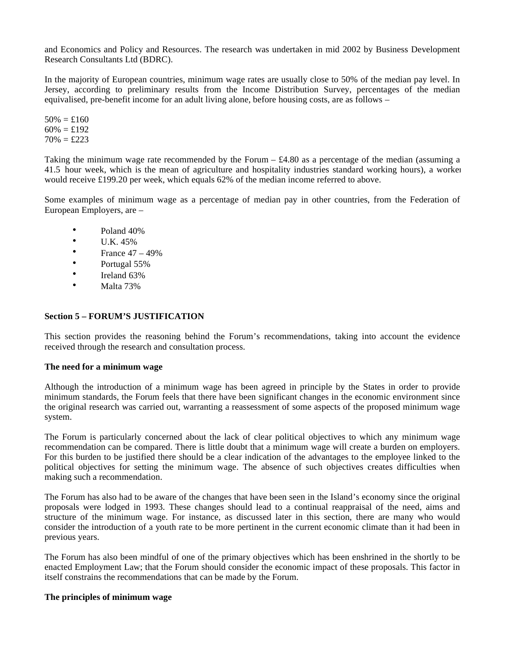and Economics and Policy and Resources. The research was undertaken in mid 2002 by Business Development Research Consultants Ltd (BDRC).

In the majority of European countries, minimum wage rates are usually close to 50% of the median pay level. In Jersey, according to preliminary results from the Income Distribution Survey, percentages of the median equivalised, pre-benefit income for an adult living alone, before housing costs, are as follows –

 $50\% = \pounds160$  $60\% = £192$  $70\% = \pounds223$ 

Taking the minimum wage rate recommended by the Forum  $-$  £4.80 as a percentage of the median (assuming a 41.5 hour week, which is the mean of agriculture and hospitality industries standard working hours), a worker would receive £199.20 per week, which equals 62% of the median income referred to above.

Some examples of minimum wage as a percentage of median pay in other countries, from the Federation of European Employers, are –

- Poland 40%
- $\bullet$  U.K. 45%
- France  $47 49\%$
- Portugal 55%
- Ireland 63%
- Malta 73%

## **Section 5 – FORUM'S JUSTIFICATION**

This section provides the reasoning behind the Forum's recommendations, taking into account the evidence received through the research and consultation process.

## **The need for a minimum wage**

Although the introduction of a minimum wage has been agreed in principle by the States in order to provide minimum standards, the Forum feels that there have been significant changes in the economic environment since the original research was carried out, warranting a reassessment of some aspects of the proposed minimum wage system.

The Forum is particularly concerned about the lack of clear political objectives to which any minimum wage recommendation can be compared. There is little doubt that a minimum wage will create a burden on employers. For this burden to be justified there should be a clear indication of the advantages to the employee linked to the political objectives for setting the minimum wage. The absence of such objectives creates difficulties when making such a recommendation.

The Forum has also had to be aware of the changes that have been seen in the Island's economy since the original proposals were lodged in 1993. These changes should lead to a continual reappraisal of the need, aims and structure of the minimum wage. For instance, as discussed later in this section, there are many who would consider the introduction of a youth rate to be more pertinent in the current economic climate than it had been in previous years.

The Forum has also been mindful of one of the primary objectives which has been enshrined in the shortly to be enacted Employment Law; that the Forum should consider the economic impact of these proposals. This factor in itself constrains the recommendations that can be made by the Forum.

## **The principles of minimum wage**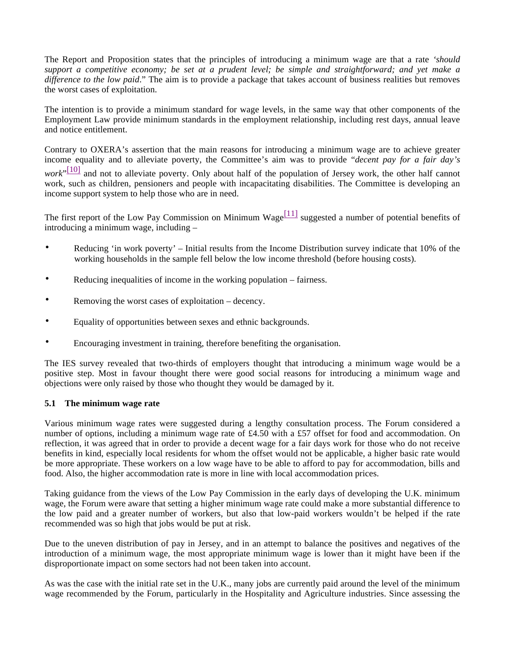The Report and Proposition states that the principles of introducing a minimum wage are that a rate *'should support a competitive economy; be set at a prudent level; be simple and straightforward; and yet make a difference to the low paid*." The aim is to provide a package that takes account of business realities but removes the worst cases of exploitation.

The intention is to provide a minimum standard for wage levels, in the same way that other components of the Employment Law provide minimum standards in the employment relationship, including rest days, annual leave and notice entitlement.

Contrary to OXERA's assertion that the main reasons for introducing a minimum wage are to achieve greater income equality and to alleviate poverty, the Committee's aim was to provide "*decent pay for a fair day's work*"<sup>[10]</sup> and not to alleviate poverty. Only about half of the population of Jersey work, the other half cannot work, such as children, pensioners and people with incapacitating disabilities. The Committee is developing an income support system to help those who are in need.

The first report of the Low Pay Commission on Minimum Wage $\frac{[11]}{[11]}$  suggested a number of potential benefits of introducing a minimum wage, including –

- Reducing 'in work poverty' Initial results from the Income Distribution survey indicate that 10% of the working households in the sample fell below the low income threshold (before housing costs).
- Reducing inequalities of income in the working population fairness.
- Removing the worst cases of exploitation decency.
- Equality of opportunities between sexes and ethnic backgrounds.
- Encouraging investment in training, therefore benefiting the organisation.

The IES survey revealed that two-thirds of employers thought that introducing a minimum wage would be a positive step. Most in favour thought there were good social reasons for introducing a minimum wage and objections were only raised by those who thought they would be damaged by it.

## **5.1 The minimum wage rate**

Various minimum wage rates were suggested during a lengthy consultation process. The Forum considered a number of options, including a minimum wage rate of £4.50 with a £57 offset for food and accommodation. On reflection, it was agreed that in order to provide a decent wage for a fair days work for those who do not receive benefits in kind, especially local residents for whom the offset would not be applicable, a higher basic rate would be more appropriate. These workers on a low wage have to be able to afford to pay for accommodation, bills and food. Also, the higher accommodation rate is more in line with local accommodation prices.

Taking guidance from the views of the Low Pay Commission in the early days of developing the U.K. minimum wage, the Forum were aware that setting a higher minimum wage rate could make a more substantial difference to the low paid and a greater number of workers, but also that low-paid workers wouldn't be helped if the rate recommended was so high that jobs would be put at risk.

Due to the uneven distribution of pay in Jersey, and in an attempt to balance the positives and negatives of the introduction of a minimum wage, the most appropriate minimum wage is lower than it might have been if the disproportionate impact on some sectors had not been taken into account.

As was the case with the initial rate set in the U.K., many jobs are currently paid around the level of the minimum wage recommended by the Forum, particularly in the Hospitality and Agriculture industries. Since assessing the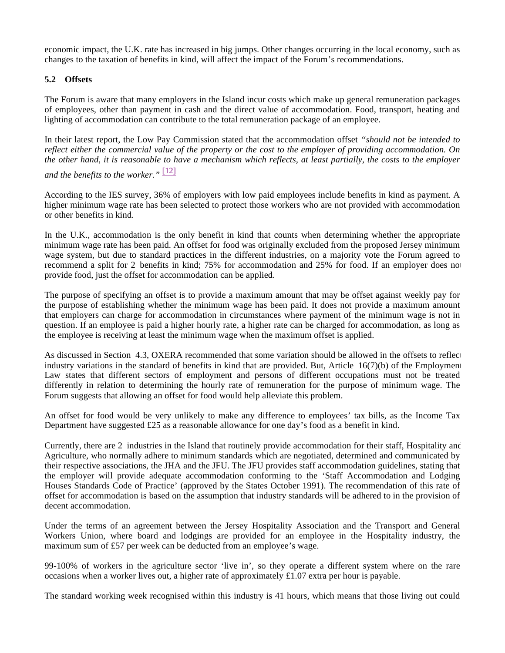economic impact, the U.K. rate has increased in big jumps. Other changes occurring in the local economy, such as changes to the taxation of benefits in kind, will affect the impact of the Forum's recommendations.

## **5.2 Offsets**

The Forum is aware that many employers in the Island incur costs which make up general remuneration packages of employees, other than payment in cash and the direct value of accommodation. Food, transport, heating and lighting of accommodation can contribute to the total remuneration package of an employee.

In their latest report, the Low Pay Commission stated that the accommodation offset *"should not be intended to reflect either the commercial value of the property or the cost to the employer of providing accommodation. On the other hand, it is reasonable to have a mechanism which reflects, at least partially, the costs to the employer*

# *and the benefits to the worker."* [12]

According to the IES survey, 36% of employers with low paid employees include benefits in kind as payment. A higher minimum wage rate has been selected to protect those workers who are not provided with accommodation or other benefits in kind.

In the U.K., accommodation is the only benefit in kind that counts when determining whether the appropriate minimum wage rate has been paid. An offset for food was originally excluded from the proposed Jersey minimum wage system, but due to standard practices in the different industries, on a majority vote the Forum agreed to recommend a split for 2 benefits in kind; 75% for accommodation and 25% for food. If an employer does no provide food, just the offset for accommodation can be applied.

The purpose of specifying an offset is to provide a maximum amount that may be offset against weekly pay for the purpose of establishing whether the minimum wage has been paid. It does not provide a maximum amount that employers can charge for accommodation in circumstances where payment of the minimum wage is not in question. If an employee is paid a higher hourly rate, a higher rate can be charged for accommodation, as long as the employee is receiving at least the minimum wage when the maximum offset is applied.

As discussed in Section 4.3, OXERA recommended that some variation should be allowed in the offsets to reflect industry variations in the standard of benefits in kind that are provided. But, Article  $16(7)(b)$  of the Employment Law states that different sectors of employment and persons of different occupations must not be treated differently in relation to determining the hourly rate of remuneration for the purpose of minimum wage. The Forum suggests that allowing an offset for food would help alleviate this problem.

An offset for food would be very unlikely to make any difference to employees' tax bills, as the Income Tax Department have suggested £25 as a reasonable allowance for one day's food as a benefit in kind.

Currently, there are 2 industries in the Island that routinely provide accommodation for their staff, Hospitality and Agriculture, who normally adhere to minimum standards which are negotiated, determined and communicated by their respective associations, the JHA and the JFU. The JFU provides staff accommodation guidelines, stating that the employer will provide adequate accommodation conforming to the 'Staff Accommodation and Lodging Houses Standards Code of Practice' (approved by the States October 1991). The recommendation of this rate of offset for accommodation is based on the assumption that industry standards will be adhered to in the provision of decent accommodation.

Under the terms of an agreement between the Jersey Hospitality Association and the Transport and General Workers Union, where board and lodgings are provided for an employee in the Hospitality industry, the maximum sum of £57 per week can be deducted from an employee's wage.

99-100% of workers in the agriculture sector 'live in', so they operate a different system where on the rare occasions when a worker lives out, a higher rate of approximately £1.07 extra per hour is payable.

The standard working week recognised within this industry is 41 hours, which means that those living out could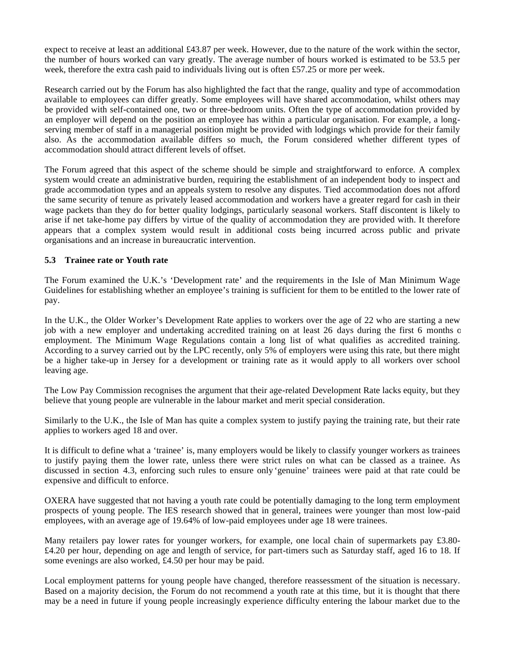expect to receive at least an additional £43.87 per week. However, due to the nature of the work within the sector, the number of hours worked can vary greatly. The average number of hours worked is estimated to be 53.5 per week, therefore the extra cash paid to individuals living out is often £57.25 or more per week.

Research carried out by the Forum has also highlighted the fact that the range, quality and type of accommodation available to employees can differ greatly. Some employees will have shared accommodation, whilst others may be provided with self-contained one, two or three-bedroom units. Often the type of accommodation provided by an employer will depend on the position an employee has within a particular organisation. For example, a longserving member of staff in a managerial position might be provided with lodgings which provide for their family also. As the accommodation available differs so much, the Forum considered whether different types of accommodation should attract different levels of offset.

The Forum agreed that this aspect of the scheme should be simple and straightforward to enforce. A complex system would create an administrative burden, requiring the establishment of an independent body to inspect and grade accommodation types and an appeals system to resolve any disputes. Tied accommodation does not afford the same security of tenure as privately leased accommodation and workers have a greater regard for cash in their wage packets than they do for better quality lodgings, particularly seasonal workers. Staff discontent is likely to arise if net take-home pay differs by virtue of the quality of accommodation they are provided with. It therefore appears that a complex system would result in additional costs being incurred across public and private organisations and an increase in bureaucratic intervention.

# **5.3 Trainee rate or Youth rate**

The Forum examined the U.K.'s 'Development rate' and the requirements in the Isle of Man Minimum Wage Guidelines for establishing whether an employee's training is sufficient for them to be entitled to the lower rate of pay.

In the U.K., the Older Worker's Development Rate applies to workers over the age of 22 who are starting a new job with a new employer and undertaking accredited training on at least 26 days during the first 6 months of employment. The Minimum Wage Regulations contain a long list of what qualifies as accredited training. According to a survey carried out by the LPC recently, only 5% of employers were using this rate, but there might be a higher take-up in Jersey for a development or training rate as it would apply to all workers over school leaving age.

The Low Pay Commission recognises the argument that their age-related Development Rate lacks equity, but they believe that young people are vulnerable in the labour market and merit special consideration.

Similarly to the U.K., the Isle of Man has quite a complex system to justify paying the training rate, but their rate applies to workers aged 18 and over.

It is difficult to define what a 'trainee' is, many employers would be likely to classify younger workers as trainees to justify paying them the lower rate, unless there were strict rules on what can be classed as a trainee. As discussed in section 4.3, enforcing such rules to ensure only 'genuine' trainees were paid at that rate could be expensive and difficult to enforce.

OXERA have suggested that not having a youth rate could be potentially damaging to the long term employment prospects of young people. The IES research showed that in general, trainees were younger than most low-paid employees, with an average age of 19.64% of low-paid employees under age 18 were trainees.

Many retailers pay lower rates for younger workers, for example, one local chain of supermarkets pay £3.80-£4.20 per hour, depending on age and length of service, for part-timers such as Saturday staff, aged 16 to 18. If some evenings are also worked, £4.50 per hour may be paid.

Local employment patterns for young people have changed, therefore reassessment of the situation is necessary. Based on a majority decision, the Forum do not recommend a youth rate at this time, but it is thought that there may be a need in future if young people increasingly experience difficulty entering the labour market due to the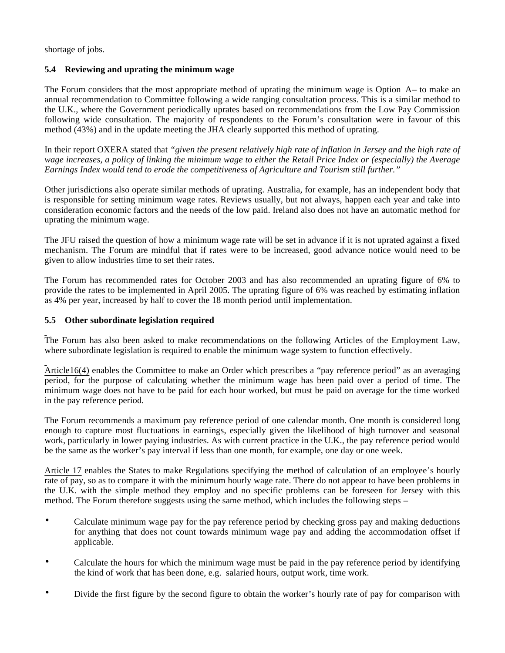shortage of jobs.

# **5.4 Reviewing and uprating the minimum wage**

The Forum considers that the most appropriate method of uprating the minimum wage is Option A – to make an annual recommendation to Committee following a wide ranging consultation process. This is a similar method to the U.K., where the Government periodically uprates based on recommendations from the Low Pay Commission following wide consultation. The majority of respondents to the Forum's consultation were in favour of this method (43%) and in the update meeting the JHA clearly supported this method of uprating.

In their report OXERA stated that *"given the present relatively high rate of inflation in Jersey and the high rate of wage increases, a policy of linking the minimum wage to either the Retail Price Index or (especially) the Average Earnings Index would tend to erode the competitiveness of Agriculture and Tourism still further."*

Other jurisdictions also operate similar methods of uprating. Australia, for example, has an independent body that is responsible for setting minimum wage rates. Reviews usually, but not always, happen each year and take into consideration economic factors and the needs of the low paid. Ireland also does not have an automatic method for uprating the minimum wage.

The JFU raised the question of how a minimum wage rate will be set in advance if it is not uprated against a fixed mechanism. The Forum are mindful that if rates were to be increased, good advance notice would need to be given to allow industries time to set their rates.

The Forum has recommended rates for October 2003 and has also recommended an uprating figure of 6% to provide the rates to be implemented in April 2005. The uprating figure of 6% was reached by estimating inflation as 4% per year, increased by half to cover the 18 month period until implementation.

# **5.5 Other subordinate legislation required**

The Forum has also been asked to make recommendations on the following Articles of the Employment Law, where subordinate legislation is required to enable the minimum wage system to function effectively.

Article16(4) enables the Committee to make an Order which prescribes a "pay reference period" as an averaging period, for the purpose of calculating whether the minimum wage has been paid over a period of time. The minimum wage does not have to be paid for each hour worked, but must be paid on average for the time worked in the pay reference period.

The Forum recommends a maximum pay reference period of one calendar month. One month is considered long enough to capture most fluctuations in earnings, especially given the likelihood of high turnover and seasonal work, particularly in lower paying industries. As with current practice in the U.K., the pay reference period would be the same as the worker's pay interval if less than one month, for example, one day or one week.

Article 17 enables the States to make Regulations specifying the method of calculation of an employee's hourly rate of pay, so as to compare it with the minimum hourly wage rate. There do not appear to have been problems in the U.K. with the simple method they employ and no specific problems can be foreseen for Jersey with this method. The Forum therefore suggests using the same method, which includes the following steps –

- Calculate minimum wage pay for the pay reference period by checking gross pay and making deductions for anything that does not count towards minimum wage pay and adding the accommodation offset if applicable.
- Calculate the hours for which the minimum wage must be paid in the pay reference period by identifying the kind of work that has been done, e.g. salaried hours, output work, time work.
- Divide the first figure by the second figure to obtain the worker's hourly rate of pay for comparison with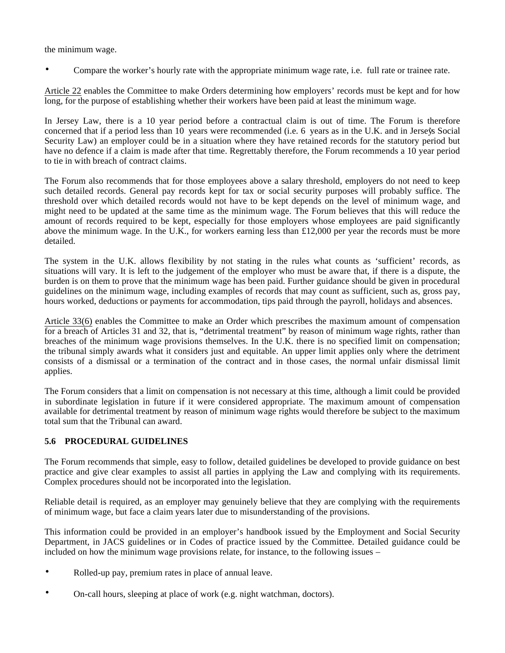the minimum wage.

• Compare the worker's hourly rate with the appropriate minimum wage rate, i.e. full rate or trainee rate.

Article 22 enables the Committee to make Orders determining how employers' records must be kept and for how long, for the purpose of establishing whether their workers have been paid at least the minimum wage.

In Jersey Law, there is a 10 year period before a contractual claim is out of time. The Forum is therefore concerned that if a period less than 10 years were recommended (i.e. 6 years as in the U.K. and in Jersey's Social Security Law) an employer could be in a situation where they have retained records for the statutory period but have no defence if a claim is made after that time. Regrettably therefore, the Forum recommends a 10 year period to tie in with breach of contract claims.

The Forum also recommends that for those employees above a salary threshold, employers do not need to keep such detailed records. General pay records kept for tax or social security purposes will probably suffice. The threshold over which detailed records would not have to be kept depends on the level of minimum wage, and might need to be updated at the same time as the minimum wage. The Forum believes that this will reduce the amount of records required to be kept, especially for those employers whose employees are paid significantly above the minimum wage. In the U.K., for workers earning less than  $£12,000$  per year the records must be more detailed.

The system in the U.K. allows flexibility by not stating in the rules what counts as 'sufficient' records, as situations will vary. It is left to the judgement of the employer who must be aware that, if there is a dispute, the burden is on them to prove that the minimum wage has been paid. Further guidance should be given in procedural guidelines on the minimum wage, including examples of records that may count as sufficient, such as, gross pay, hours worked, deductions or payments for accommodation, tips paid through the payroll, holidays and absences.

Article 33(6) enables the Committee to make an Order which prescribes the maximum amount of compensation for a breach of Articles 31 and 32, that is, "detrimental treatment" by reason of minimum wage rights, rather than breaches of the minimum wage provisions themselves. In the U.K. there is no specified limit on compensation; the tribunal simply awards what it considers just and equitable. An upper limit applies only where the detriment consists of a dismissal or a termination of the contract and in those cases, the normal unfair dismissal limit applies.

The Forum considers that a limit on compensation is not necessary at this time, although a limit could be provided in subordinate legislation in future if it were considered appropriate. The maximum amount of compensation available for detrimental treatment by reason of minimum wage rights would therefore be subject to the maximum total sum that the Tribunal can award.

# **5.6 PROCEDURAL GUIDELINES**

The Forum recommends that simple, easy to follow, detailed guidelines be developed to provide guidance on best practice and give clear examples to assist all parties in applying the Law and complying with its requirements. Complex procedures should not be incorporated into the legislation.

Reliable detail is required, as an employer may genuinely believe that they are complying with the requirements of minimum wage, but face a claim years later due to misunderstanding of the provisions.

This information could be provided in an employer's handbook issued by the Employment and Social Security Department, in JACS guidelines or in Codes of practice issued by the Committee. Detailed guidance could be included on how the minimum wage provisions relate, for instance, to the following issues –

- Rolled-up pay, premium rates in place of annual leave.
- On-call hours, sleeping at place of work (e.g. night watchman, doctors).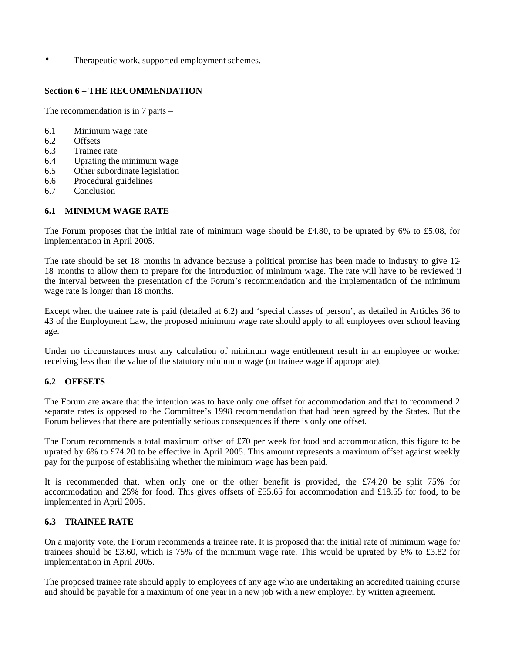Therapeutic work, supported employment schemes.

## **Section 6 – THE RECOMMENDATION**

The recommendation is in 7 parts –

- 6.1 Minimum wage rate
- 6.2 Offsets
- 6.3 Trainee rate
- 6.4 Uprating the minimum wage
- 6.5 Other subordinate legislation
- 6.6 Procedural guidelines
- 6.7 Conclusion

## **6.1 MINIMUM WAGE RATE**

The Forum proposes that the initial rate of minimum wage should be £4.80, to be uprated by 6% to £5.08, for implementation in April 2005.

The rate should be set 18 months in advance because a political promise has been made to industry to give 12- 18 months to allow them to prepare for the introduction of minimum wage. The rate will have to be reviewed if the interval between the presentation of the Forum's recommendation and the implementation of the minimum wage rate is longer than 18 months.

Except when the trainee rate is paid (detailed at 6.2) and 'special classes of person', as detailed in Articles 36 to 43 of the Employment Law, the proposed minimum wage rate should apply to all employees over school leaving age.

Under no circumstances must any calculation of minimum wage entitlement result in an employee or worker receiving less than the value of the statutory minimum wage (or trainee wage if appropriate).

## **6.2 OFFSETS**

The Forum are aware that the intention was to have only one offset for accommodation and that to recommend 2 separate rates is opposed to the Committee's 1998 recommendation that had been agreed by the States. But the Forum believes that there are potentially serious consequences if there is only one offset.

The Forum recommends a total maximum offset of £70 per week for food and accommodation, this figure to be uprated by 6% to £74.20 to be effective in April 2005. This amount represents a maximum offset against weekly pay for the purpose of establishing whether the minimum wage has been paid.

It is recommended that, when only one or the other benefit is provided, the £74.20 be split 75% for accommodation and 25% for food. This gives offsets of £55.65 for accommodation and £18.55 for food, to be implemented in April 2005.

## **6.3 TRAINEE RATE**

On a majority vote, the Forum recommends a trainee rate. It is proposed that the initial rate of minimum wage for trainees should be £3.60, which is 75% of the minimum wage rate. This would be uprated by 6% to £3.82 for implementation in April 2005.

The proposed trainee rate should apply to employees of any age who are undertaking an accredited training course and should be payable for a maximum of one year in a new job with a new employer, by written agreement.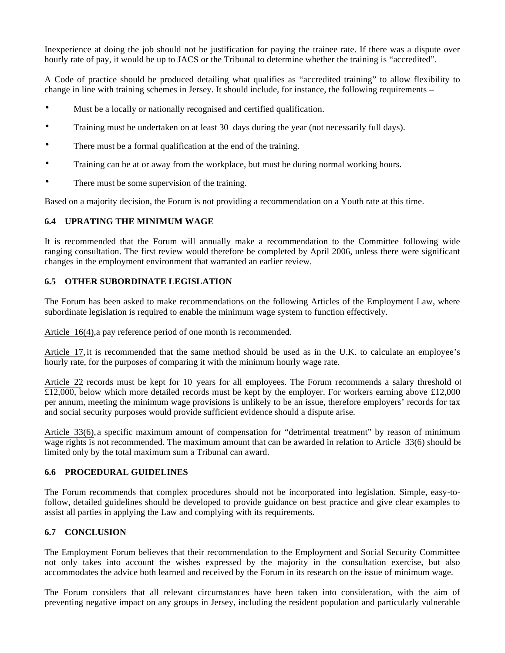Inexperience at doing the job should not be justification for paying the trainee rate. If there was a dispute over hourly rate of pay, it would be up to JACS or the Tribunal to determine whether the training is "accredited".

A Code of practice should be produced detailing what qualifies as "accredited training" to allow flexibility to change in line with training schemes in Jersey. It should include, for instance, the following requirements –

- Must be a locally or nationally recognised and certified qualification.
- Training must be undertaken on at least 30 days during the year (not necessarily full days).
- There must be a formal qualification at the end of the training.
- Training can be at or away from the workplace, but must be during normal working hours.
- There must be some supervision of the training.

Based on a majority decision, the Forum is not providing a recommendation on a Youth rate at this time.

## **6.4 UPRATING THE MINIMUM WAGE**

It is recommended that the Forum will annually make a recommendation to the Committee following wide ranging consultation. The first review would therefore be completed by April 2006, unless there were significant changes in the employment environment that warranted an earlier review.

# **6.5 OTHER SUBORDINATE LEGISLATION**

The Forum has been asked to make recommendations on the following Articles of the Employment Law, where subordinate legislation is required to enable the minimum wage system to function effectively.

Article 16(4), a pay reference period of one month is recommended.

Article 17, it is recommended that the same method should be used as in the U.K. to calculate an employee's hourly rate, for the purposes of comparing it with the minimum hourly wage rate.

Article 22 records must be kept for 10 years for all employees. The Forum recommends a salary threshold of  $£12,000$ , below which more detailed records must be kept by the employer. For workers earning above £12,000 per annum, meeting the minimum wage provisions is unlikely to be an issue, therefore employers' records for tax and social security purposes would provide sufficient evidence should a dispute arise.

Article 33(6), a specific maximum amount of compensation for "detrimental treatment" by reason of minimum wage rights is not recommended. The maximum amount that can be awarded in relation to Article 33(6) should be limited only by the total maximum sum a Tribunal can award.

## **6.6 PROCEDURAL GUIDELINES**

The Forum recommends that complex procedures should not be incorporated into legislation. Simple, easy-tofollow, detailed guidelines should be developed to provide guidance on best practice and give clear examples to assist all parties in applying the Law and complying with its requirements.

## **6.7 CONCLUSION**

The Employment Forum believes that their recommendation to the Employment and Social Security Committee not only takes into account the wishes expressed by the majority in the consultation exercise, but also accommodates the advice both learned and received by the Forum in its research on the issue of minimum wage.

The Forum considers that all relevant circumstances have been taken into consideration, with the aim of preventing negative impact on any groups in Jersey, including the resident population and particularly vulnerable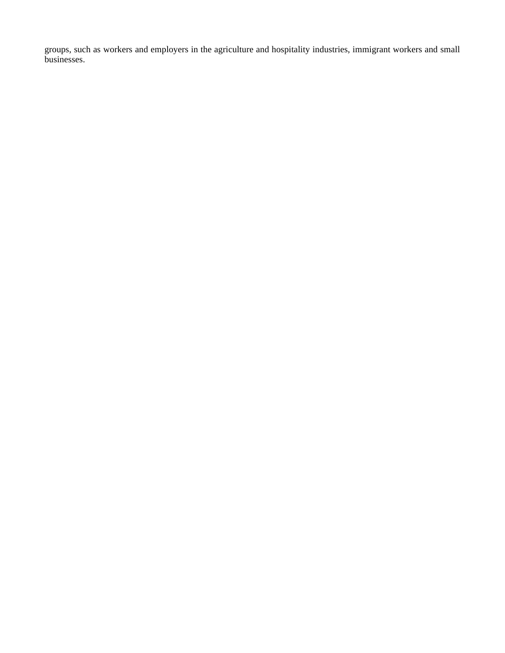groups, such as workers and employers in the agriculture and hospitality industries, immigrant workers and small businesses.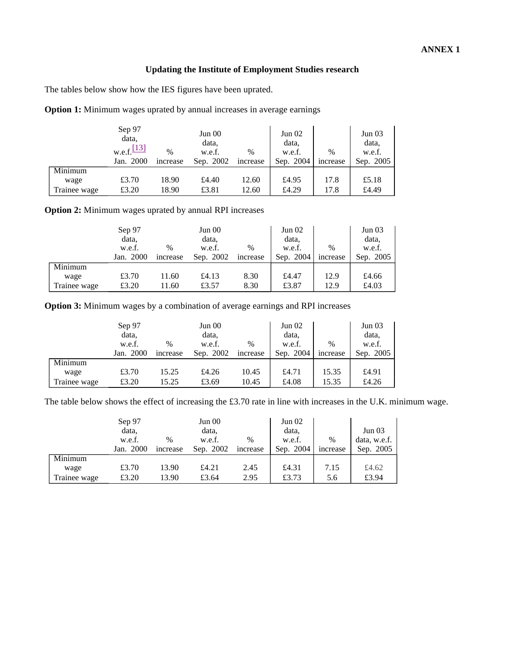# **Updating the Institute of Employment Studies research**

The tables below show how the IES figures have been uprated.

|              | Sep 97<br>data,<br>w.e.f. $[13]$<br>Jan. 2000 | $\%$<br>increase | Jun 00<br>data,<br>w.e.f.<br>Sep. 2002 | $\frac{0}{0}$<br>increase | Jun 02<br>data.<br>w.e.f.<br>Sep. 2004 | $\%$<br>increase | Jun 03<br>data,<br>w.e.f.<br>Sep. 2005 |
|--------------|-----------------------------------------------|------------------|----------------------------------------|---------------------------|----------------------------------------|------------------|----------------------------------------|
| Minimum      |                                               |                  |                                        |                           |                                        |                  |                                        |
| wage         | £3.70                                         | 18.90            | £4.40                                  | 12.60                     | £4.95                                  | 17.8             | £5.18                                  |
| Trainee wage | £3.20                                         | 18.90            | £3.81                                  | 12.60                     | £4.29                                  | 17.8             | £4.49                                  |

**Option 1:** Minimum wages uprated by annual increases in average earnings

**Option 2:** Minimum wages uprated by annual RPI increases

|              | Sep 97<br>Jun 00 |          | Jun 02    |          | Jun 03    |          |           |
|--------------|------------------|----------|-----------|----------|-----------|----------|-----------|
|              | data,            |          | data,     |          | data.     |          | data,     |
|              | w.e.f.           | $\%$     | w.e.f.    | $\%$     | w.e.f.    | $\%$     | w.e.f.    |
|              | Jan. 2000        | increase | Sep. 2002 | increase | Sep. 2004 | increase | Sep. 2005 |
| Minimum      |                  |          |           |          |           |          |           |
| wage         | £3.70            | 11.60    | £4.13     | 8.30     | £4.47     | 12.9     | £4.66     |
| Trainee wage | £3.20            | 11.60    | £3.57     | 8.30     | £3.87     | 12.9     | £4.03     |

**Option 3:** Minimum wages by a combination of average earnings and RPI increases

|              | Jun 00<br>Sep 97 |          | Jun $02$  |               | Jun 03    |          |           |
|--------------|------------------|----------|-----------|---------------|-----------|----------|-----------|
|              | data,            |          | data,     |               | data.     |          | data,     |
|              | w.e.f.           | $\%$     | w.e.f.    | $\frac{0}{0}$ | w.e.f.    | $\%$     | w.e.f.    |
|              | Jan. 2000        | increase | Sep. 2002 | increase      | Sep. 2004 | increase | Sep. 2005 |
| Minimum      |                  |          |           |               |           |          |           |
| wage         | £3.70            | 15.25    | £4.26     | 10.45         | £4.71     | 15.35    | £4.91     |
| Trainee wage | £3.20            | 15.25    | £3.69     | 10.45         | £4.08     | 15.35    | £4.26     |

The table below shows the effect of increasing the £3.70 rate in line with increases in the U.K. minimum wage.

|              | Sep 97<br>data.<br>w.e.f. | $\%$     | Jun 00<br>data,<br>w.e.f. | $\frac{0}{0}$ | Jun $02$<br>data,<br>w.e.f. | $\frac{0}{0}$ | Jun 03<br>data, w.e.f. |
|--------------|---------------------------|----------|---------------------------|---------------|-----------------------------|---------------|------------------------|
|              | Jan. 2000                 | increase | Sep. 2002                 | increase      | Sep. 2004                   | increase      | Sep. 2005              |
| Minimum      |                           |          |                           |               |                             |               |                        |
| wage         | £3.70                     | 13.90    | £4.21                     | 2.45          | £4.31                       | 7.15          | £4.62                  |
| Trainee wage | £3.20                     | 13.90    | £3.64                     | 2.95          | £3.73                       | 5.6           | £3.94                  |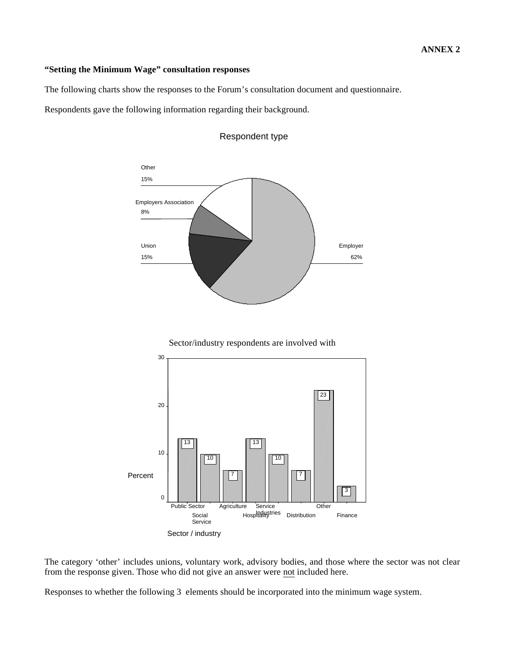## **ANNEX 2**

## **"Setting the Minimum Wage" consultation responses**

The following charts show the responses to the Forum's consultation document and questionnaire.

Respondents gave the following information regarding their background.



# Respondent type



Sector/industry respondents are involved with

The category 'other' includes unions, voluntary work, advisory bodies, and those where the sector was not clear from the response given. Those who did not give an answer were not included here.

Responses to whether the following 3 elements should be incorporated into the minimum wage system.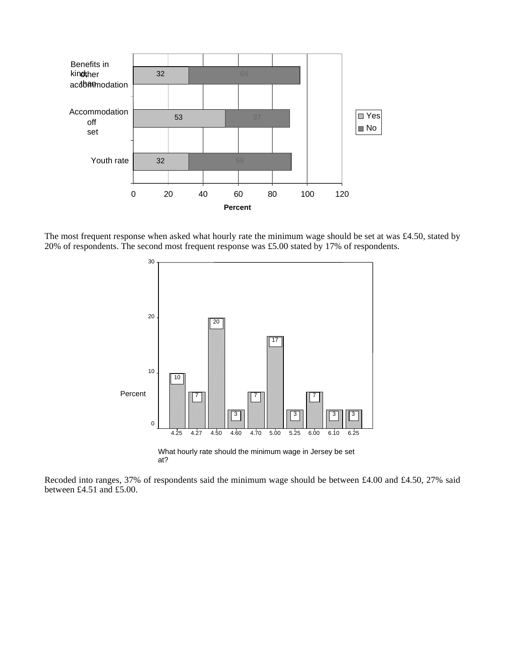

The most frequent response when asked what hourly rate the minimum wage should be set at was £4.50, stated by 20% of respondents. The second most frequent response was £5.00 stated by 17% of respondents.



What hourly rate should the minimum wage in Jersey be set at?

Recoded into ranges, 37% of respondents said the minimum wage should be between £4.00 and £4.50, 27% said between £4.51 and £5.00.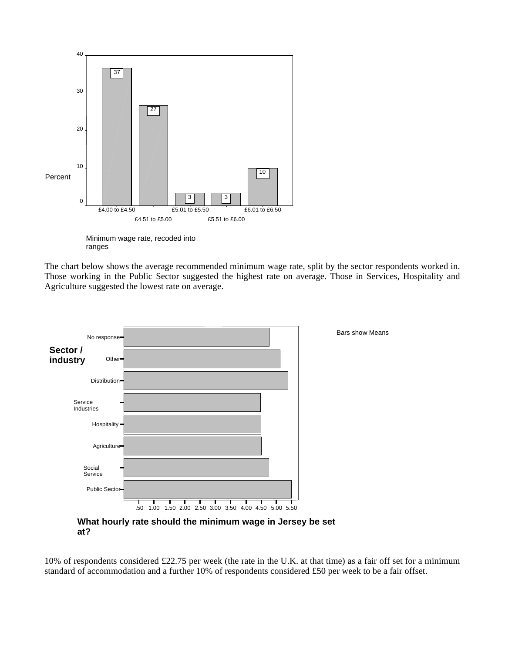

Minimum wage rate, recoded into ranges

The chart below shows the average recommended minimum wage rate, split by the sector respondents worked in. Those working in the Public Sector suggested the highest rate on average. Those in Services, Hospitality and Agriculture suggested the lowest rate on average.



**What hourly rate should the minimum wage in Jersey be set at?**

10% of respondents considered £22.75 per week (the rate in the U.K. at that time) as a fair off set for a minimum standard of accommodation and a further 10% of respondents considered £50 per week to be a fair offset.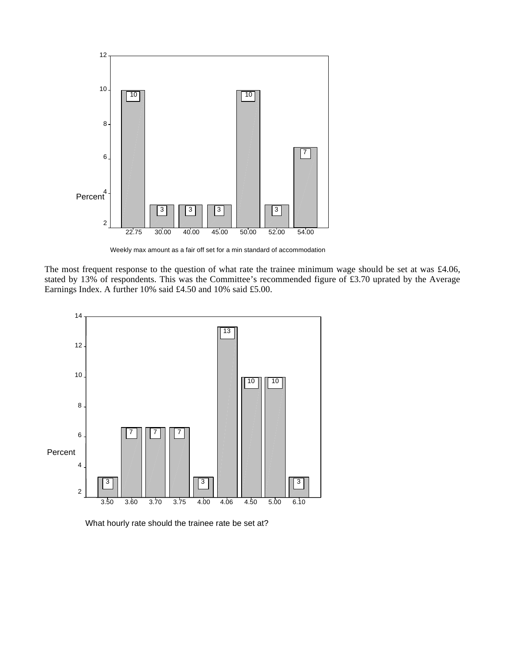

Weekly max amount as a fair off set for a min standard of accommodation

The most frequent response to the question of what rate the trainee minimum wage should be set at was £4.06, stated by 13% of respondents. This was the Committee's recommended figure of £3.70 uprated by the Average Earnings Index. A further 10% said £4.50 and 10% said £5.00.



What hourly rate should the trainee rate be set at?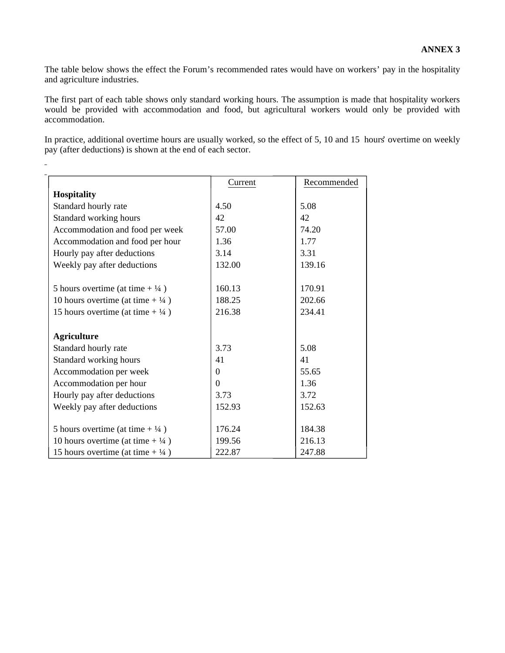The table below shows the effect the Forum's recommended rates would have on workers' pay in the hospitality and agriculture industries.

The first part of each table shows only standard working hours. The assumption is made that hospitality workers would be provided with accommodation and food, but agricultural workers would only be provided with accommodation.

In practice, additional overtime hours are usually worked, so the effect of 5, 10 and 15 hours' overtime on weekly pay (after deductions) is shown at the end of each sector.

|                                              | Current  | Recommended |
|----------------------------------------------|----------|-------------|
| <b>Hospitality</b>                           |          |             |
| Standard hourly rate                         | 4.50     | 5.08        |
| Standard working hours                       | 42       | 42          |
| Accommodation and food per week              | 57.00    | 74.20       |
| Accommodation and food per hour              | 1.36     | 1.77        |
| Hourly pay after deductions                  | 3.14     | 3.31        |
| Weekly pay after deductions                  | 132.00   | 139.16      |
|                                              |          |             |
| 5 hours overtime (at time $+ \frac{1}{4}$ )  | 160.13   | 170.91      |
| 10 hours overtime (at time $+ \frac{1}{4}$ ) | 188.25   | 202.66      |
| 15 hours overtime (at time $+ \frac{1}{4}$ ) | 216.38   | 234.41      |
|                                              |          |             |
| <b>Agriculture</b>                           |          |             |
| Standard hourly rate                         | 3.73     | 5.08        |
| Standard working hours                       | 41       | 41          |
| Accommodation per week                       | $\Omega$ | 55.65       |
| Accommodation per hour                       | $\Omega$ | 1.36        |
| Hourly pay after deductions                  | 3.73     | 3.72        |
| Weekly pay after deductions                  | 152.93   | 152.63      |
|                                              |          |             |
| 5 hours overtime (at time $+ \frac{1}{4}$ )  | 176.24   | 184.38      |
| 10 hours overtime (at time $+ \frac{1}{4}$ ) | 199.56   | 216.13      |
| 15 hours overtime (at time $+ \frac{1}{4}$ ) | 222.87   | 247.88      |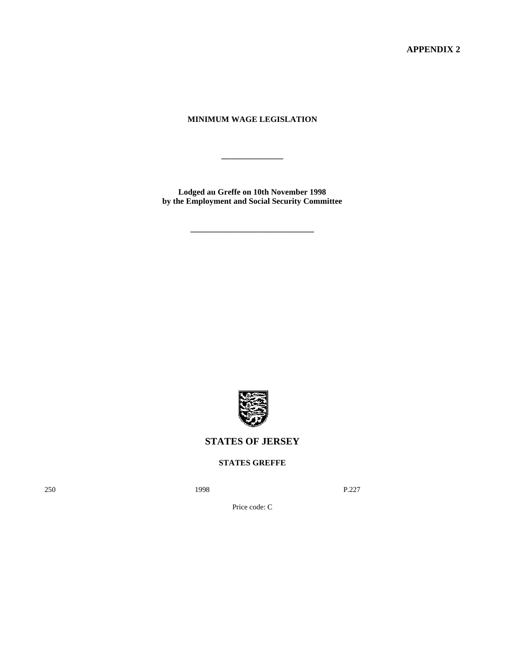**APPENDIX 2**

# **MINIMUM WAGE LEGISLATION**

**\_\_\_\_\_\_\_\_\_\_\_\_\_\_\_**

**Lodged au Greffe on 10th November 1998 by the Employment and Social Security Committee**

**\_\_\_\_\_\_\_\_\_\_\_\_\_\_\_\_\_\_\_\_\_\_\_\_\_\_\_\_\_\_**



# **STATES OF JERSEY**

# **STATES GREFFE**

250 **1998** P.227

Price code: C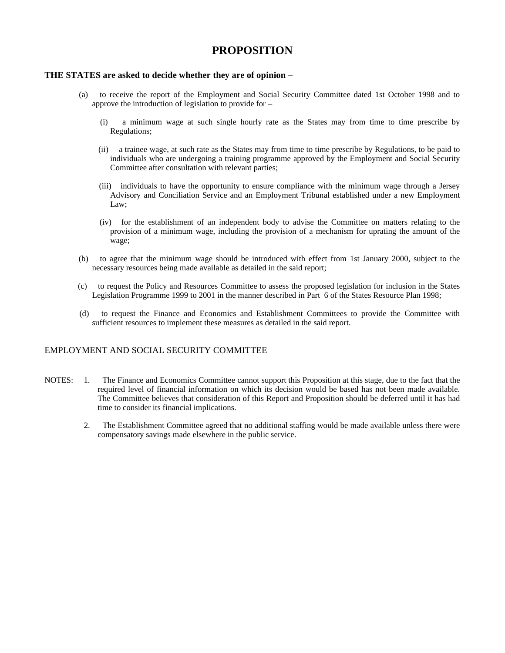# **PROPOSITION**

## **THE STATES are asked to decide whether they are of opinion –**

- (a) to receive the report of the Employment and Social Security Committee dated 1st October 1998 and to approve the introduction of legislation to provide for –
	- (i) a minimum wage at such single hourly rate as the States may from time to time prescribe by Regulations;
	- (ii) a trainee wage, at such rate as the States may from time to time prescribe by Regulations, to be paid to individuals who are undergoing a training programme approved by the Employment and Social Security Committee after consultation with relevant parties;
	- (iii) individuals to have the opportunity to ensure compliance with the minimum wage through a Jersey Advisory and Conciliation Service and an Employment Tribunal established under a new Employment Law;
	- (iv) for the establishment of an independent body to advise the Committee on matters relating to the provision of a minimum wage, including the provision of a mechanism for uprating the amount of the wage;
- (b) to agree that the minimum wage should be introduced with effect from 1st January 2000, subject to the necessary resources being made available as detailed in the said report;
- (c) to request the Policy and Resources Committee to assess the proposed legislation for inclusion in the States Legislation Programme 1999 to 2001 in the manner described in Part 6 of the States Resource Plan 1998;
- (d) to request the Finance and Economics and Establishment Committees to provide the Committee with sufficient resources to implement these measures as detailed in the said report.

## EMPLOYMENT AND SOCIAL SECURITY COMMITTEE

- NOTES: 1. The Finance and Economics Committee cannot support this Proposition at this stage, due to the fact that the required level of financial information on which its decision would be based has not been made available. The Committee believes that consideration of this Report and Proposition should be deferred until it has had time to consider its financial implications.
	- 2. The Establishment Committee agreed that no additional staffing would be made available unless there were compensatory savings made elsewhere in the public service.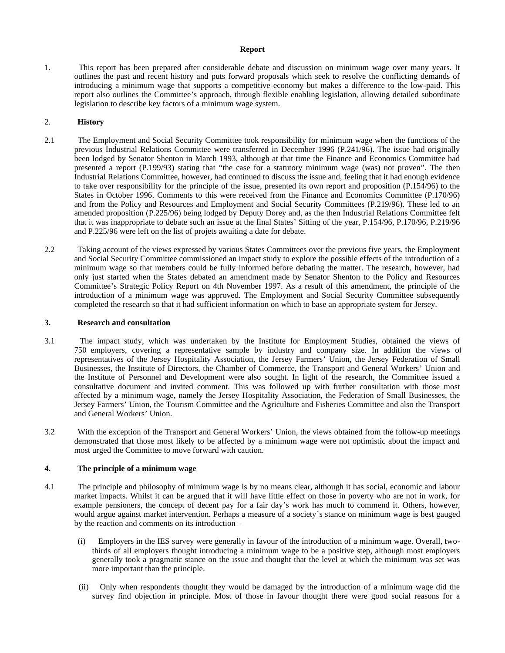#### **Report**

1. This report has been prepared after considerable debate and discussion on minimum wage over many years. It outlines the past and recent history and puts forward proposals which seek to resolve the conflicting demands of introducing a minimum wage that supports a competitive economy but makes a difference to the low-paid. This report also outlines the Committee's approach, through flexible enabling legislation, allowing detailed subordinate legislation to describe key factors of a minimum wage system.

### 2. **History**

- 2.1 The Employment and Social Security Committee took responsibility for minimum wage when the functions of the previous Industrial Relations Committee were transferred in December 1996 (P.241/96). The issue had originally been lodged by Senator Shenton in March 1993, although at that time the Finance and Economics Committee had presented a report (P.199/93) stating that "the case for a statutory minimum wage (was) not proven". The then Industrial Relations Committee, however, had continued to discuss the issue and, feeling that it had enough evidence to take over responsibility for the principle of the issue, presented its own report and proposition (P.154/96) to the States in October 1996. Comments to this were received from the Finance and Economics Committee (P.170/96) and from the Policy and Resources and Employment and Social Security Committees (P.219/96). These led to an amended proposition (P.225/96) being lodged by Deputy Dorey and, as the then Industrial Relations Committee felt that it was inappropriate to debate such an issue at the final States' Sitting of the year, P.154/96, P.170/96, P.219/96 and P.225/96 were left on the list of projets awaiting a date for debate.
- 2.2 Taking account of the views expressed by various States Committees over the previous five years, the Employment and Social Security Committee commissioned an impact study to explore the possible effects of the introduction of a minimum wage so that members could be fully informed before debating the matter. The research, however, had only just started when the States debated an amendment made by Senator Shenton to the Policy and Resources Committee's Strategic Policy Report on 4th November 1997. As a result of this amendment, the principle of the introduction of a minimum wage was approved. The Employment and Social Security Committee subsequently completed the research so that it had sufficient information on which to base an appropriate system for Jersey.

#### **3. Research and consultation**

- 3.1 The impact study, which was undertaken by the Institute for Employment Studies, obtained the views of 750 employers, covering a representative sample by industry and company size. In addition the views of representatives of the Jersey Hospitality Association, the Jersey Farmers' Union, the Jersey Federation of Small Businesses, the Institute of Directors, the Chamber of Commerce, the Transport and General Workers' Union and the Institute of Personnel and Development were also sought. In light of the research, the Committee issued a consultative document and invited comment. This was followed up with further consultation with those most affected by a minimum wage, namely the Jersey Hospitality Association, the Federation of Small Businesses, the Jersey Farmers' Union, the Tourism Committee and the Agriculture and Fisheries Committee and also the Transport and General Workers' Union.
- 3.2 With the exception of the Transport and General Workers' Union, the views obtained from the follow-up meetings demonstrated that those most likely to be affected by a minimum wage were not optimistic about the impact and most urged the Committee to move forward with caution.

#### **4. The principle of a minimum wage**

- 4.1 The principle and philosophy of minimum wage is by no means clear, although it has social, economic and labour market impacts. Whilst it can be argued that it will have little effect on those in poverty who are not in work, for example pensioners, the concept of decent pay for a fair day's work has much to commend it. Others, however, would argue against market intervention. Perhaps a measure of a society's stance on minimum wage is best gauged by the reaction and comments on its introduction –
	- (i) Employers in the IES survey were generally in favour of the introduction of a minimum wage. Overall, twothirds of all employers thought introducing a minimum wage to be a positive step, although most employers generally took a pragmatic stance on the issue and thought that the level at which the minimum was set was more important than the principle.
	- (ii) Only when respondents thought they would be damaged by the introduction of a minimum wage did the survey find objection in principle. Most of those in favour thought there were good social reasons for a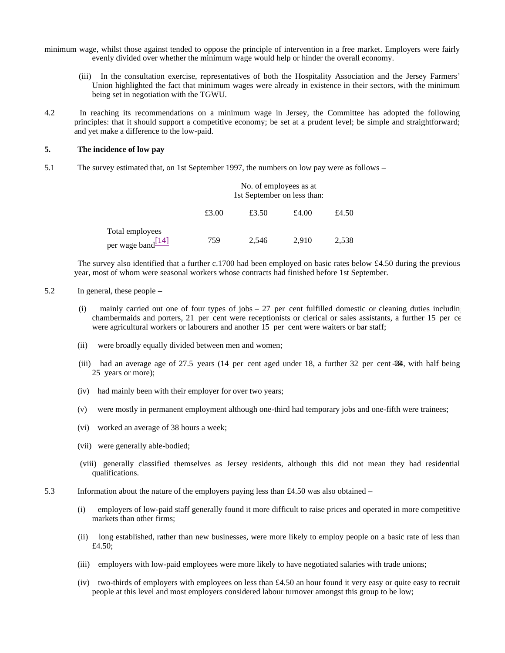minimum wage, whilst those against tended to oppose the principle of intervention in a free market. Employers were fairly evenly divided over whether the minimum wage would help or hinder the overall economy.

- (iii) In the consultation exercise, representatives of both the Hospitality Association and the Jersey Farmers' Union highlighted the fact that minimum wages were already in existence in their sectors, with the minimum being set in negotiation with the TGWU.
- 4.2 In reaching its recommendations on a minimum wage in Jersey, the Committee has adopted the following principles: that it should support a competitive economy; be set at a prudent level; be simple and straightforward; and yet make a difference to the low-paid.

### **5. The incidence of low pay**

5.1 The survey estimated that, on 1st September 1997, the numbers on low pay were as follows –

|                                                      | No. of employees as at<br>1st September on less than: |       |       |       |  |  |
|------------------------------------------------------|-------------------------------------------------------|-------|-------|-------|--|--|
|                                                      | £3.00                                                 | £3.50 | £4.00 | £4.50 |  |  |
| Total employees<br>per wage band $\frac{[14]}{[14]}$ | 759                                                   | 2,546 | 2,910 | 2,538 |  |  |

 The survey also identified that a further c.1700 had been employed on basic rates below £4.50 during the previous year, most of whom were seasonal workers whose contracts had finished before 1st September.

### 5.2 In general, these people –

- mainly carried out one of four types of jobs  $27$  per cent fulfilled domestic or cleaning duties including chambermaids and porters, 21 per cent were receptionists or clerical or sales assistants, a further 15 per cent were agricultural workers or labourers and another 15 per cent were waiters or bar staff;
- (ii) were broadly equally divided between men and women;
- (iii) had an average age of  $27.5$  years (14 per cent aged under 18, a further 32 per cent  $-24$ , with half being 25 years or more);
- (iv) had mainly been with their employer for over two years;
- (v) were mostly in permanent employment although one-third had temporary jobs and one-fifth were trainees;
- (vi) worked an average of 38 hours a week;
- (vii) were generally able-bodied;
- (viii) generally classified themselves as Jersey residents, although this did not mean they had residential qualifications.
- 5.3 Information about the nature of the employers paying less than £4.50 was also obtained
	- (i) employers of low-paid staff generally found it more difficult to raise prices and operated in more competitive markets than other firms;
	- (ii) long established, rather than new businesses, were more likely to employ people on a basic rate of less than £4.50;
	- (iii) employers with low-paid employees were more likely to have negotiated salaries with trade unions;
	- (iv) two-thirds of employers with employees on less than £4.50 an hour found it very easy or quite easy to recruit people at this level and most employers considered labour turnover amongst this group to be low;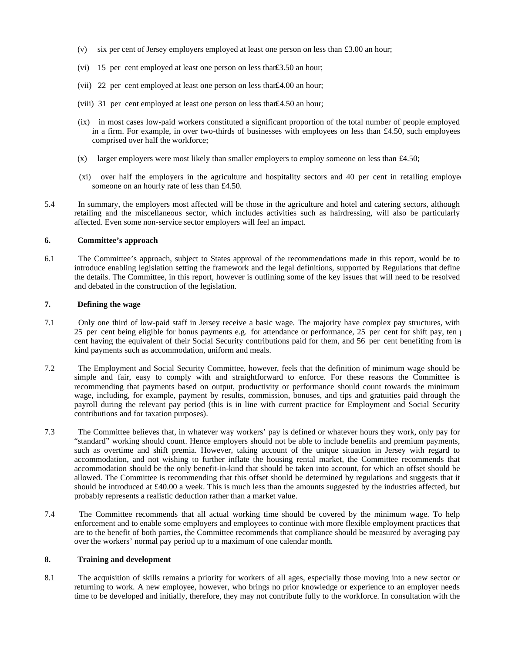- (v) six per cent of Jersey employers employed at least one person on less than £3.00 an hour;
- (vi) 15 per cent employed at least one person on less than£3.50 an hour;
- (vii) 22 per cent employed at least one person on less than£4.00 an hour;
- (viii) 31 per cent employed at least one person on less than£4.50 an hour;
- (ix) in most cases low-paid workers constituted a significant proportion of the total number of people employed in a firm. For example, in over two-thirds of businesses with employees on less than £4.50, such employees comprised over half the workforce;
- $(x)$  larger employers were most likely than smaller employers to employ someone on less than £4.50;
- (xi) over half the employers in the agriculture and hospitality sectors and 40 per cent in retailing employed someone on an hourly rate of less than £4.50.
- 5.4 In summary, the employers most affected will be those in the agriculture and hotel and catering sectors, although retailing and the miscellaneous sector, which includes activities such as hairdressing, will also be particularly affected. Even some non-service sector employers will feel an impact.

#### **6. Committee's approach**

6.1 The Committee's approach, subject to States approval of the recommendations made in this report, would be to introduce enabling legislation setting the framework and the legal definitions, supported by Regulations that define the details. The Committee, in this report, however is outlining some of the key issues that will need to be resolved and debated in the construction of the legislation.

## **7. Defining the wage**

- 7.1 Only one third of low-paid staff in Jersey receive a basic wage. The majority have complex pay structures, with 25 per cent being eligible for bonus payments e.g. for attendance or performance, 25 per cent for shift pay, ten  $\vert$ cent having the equivalent of their Social Security contributions paid for them, and 56 per cent benefiting from inkind payments such as accommodation, uniform and meals.
- 7.2 The Employment and Social Security Committee, however, feels that the definition of minimum wage should be simple and fair, easy to comply with and straightforward to enforce. For these reasons the Committee is recommending that payments based on output, productivity or performance should count towards the minimum wage, including, for example, payment by results, commission, bonuses, and tips and gratuities paid through the payroll during the relevant pay period (this is in line with current practice for Employment and Social Security contributions and for taxation purposes).
- 7.3 The Committee believes that, in whatever way workers' pay is defined or whatever hours they work, only pay for "standard" working should count. Hence employers should not be able to include benefits and premium payments, such as overtime and shift premia. However, taking account of the unique situation in Jersey with regard to accommodation, and not wishing to further inflate the housing rental market, the Committee recommends that accommodation should be the only benefit-in-kind that should be taken into account, for which an offset should be allowed. The Committee is recommending that this offset should be determined by regulations and suggests that it should be introduced at £40.00 a week. This is much less than the amounts suggested by the industries affected, but probably represents a realistic deduction rather than a market value.
- 7.4 The Committee recommends that all actual working time should be covered by the minimum wage. To help enforcement and to enable some employers and employees to continue with more flexible employment practices that are to the benefit of both parties, the Committee recommends that compliance should be measured by averaging pay over the workers' normal pay period up to a maximum of one calendar month.

#### **8. Training and development**

8.1 The acquisition of skills remains a priority for workers of all ages, especially those moving into a new sector or returning to work. A new employee, however, who brings no prior knowledge or experience to an employer needs time to be developed and initially, therefore, they may not contribute fully to the workforce. In consultation with the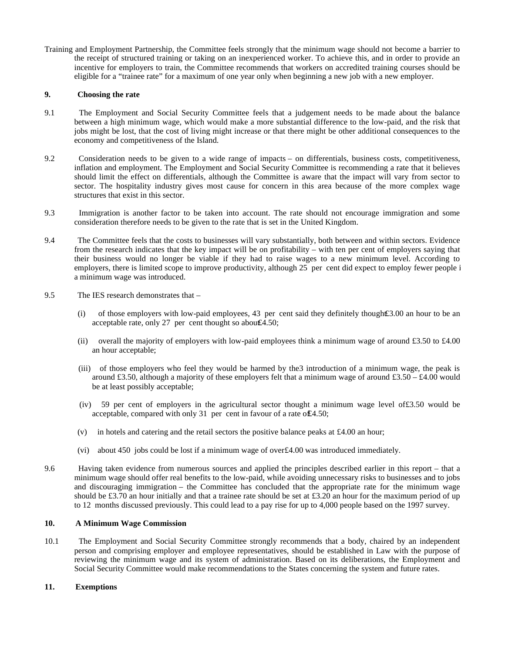Training and Employment Partnership, the Committee feels strongly that the minimum wage should not become a barrier to the receipt of structured training or taking on an inexperienced worker. To achieve this, and in order to provide an incentive for employers to train, the Committee recommends that workers on accredited training courses should be eligible for a "trainee rate" for a maximum of one year only when beginning a new job with a new employer.

### **9. Choosing the rate**

- 9.1 The Employment and Social Security Committee feels that a judgement needs to be made about the balance between a high minimum wage, which would make a more substantial difference to the low-paid, and the risk that jobs might be lost, that the cost of living might increase or that there might be other additional consequences to the economy and competitiveness of the Island.
- 9.2 Consideration needs to be given to a wide range of impacts on differentials, business costs, competitiveness, inflation and employment. The Employment and Social Security Committee is recommending a rate that it believes should limit the effect on differentials, although the Committee is aware that the impact will vary from sector to sector. The hospitality industry gives most cause for concern in this area because of the more complex wage structures that exist in this sector.
- 9.3 Immigration is another factor to be taken into account. The rate should not encourage immigration and some consideration therefore needs to be given to the rate that is set in the United Kingdom.
- 9.4 The Committee feels that the costs to businesses will vary substantially, both between and within sectors. Evidence from the research indicates that the key impact will be on profitability – with ten per cent of employers saying that their business would no longer be viable if they had to raise wages to a new minimum level. According to employers, there is limited scope to improve productivity, although 25 per cent did expect to employ fewer people i a minimum wage was introduced.
- 9.5 The IES research demonstrates that
	- (i) of those employers with low-paid employees, 43 per cent said they definitely thought£3.00 an hour to be an acceptable rate, only 27 per cent thought so about  $4.50$ ;
	- (ii) overall the majority of employers with low-paid employees think a minimum wage of around £3.50 to £4.00 an hour acceptable;
	- (iii) of those employers who feel they would be harmed by the3 introduction of a minimum wage, the peak is around £3.50, although a majority of these employers felt that a minimum wage of around  $£3.50 - £4.00$  would be at least possibly acceptable;
	- (iv) 59 per cent of employers in the agricultural sector thought a minimum wage level of£3.50 would be acceptable, compared with only 31 per cent in favour of a rate of£4.50;
	- (v) in hotels and catering and the retail sectors the positive balance peaks at £4.00 an hour;
	- (vi) about 450 jobs could be lost if a minimum wage of over£4.00 was introduced immediately.
- 9.6 Having taken evidence from numerous sources and applied the principles described earlier in this report that a minimum wage should offer real benefits to the low-paid, while avoiding unnecessary risks to businesses and to jobs and discouraging immigration – the Committee has concluded that the appropriate rate for the minimum wage should be £3.70 an hour initially and that a trainee rate should be set at £3.20 an hour for the maximum period of up to 12 months discussed previously. This could lead to a pay rise for up to 4,000 people based on the 1997 survey.

## **10. A Minimum Wage Commission**

10.1 The Employment and Social Security Committee strongly recommends that a body, chaired by an independent person and comprising employer and employee representatives, should be established in Law with the purpose of reviewing the minimum wage and its system of administration. Based on its deliberations, the Employment and Social Security Committee would make recommendations to the States concerning the system and future rates.

#### **11. Exemptions**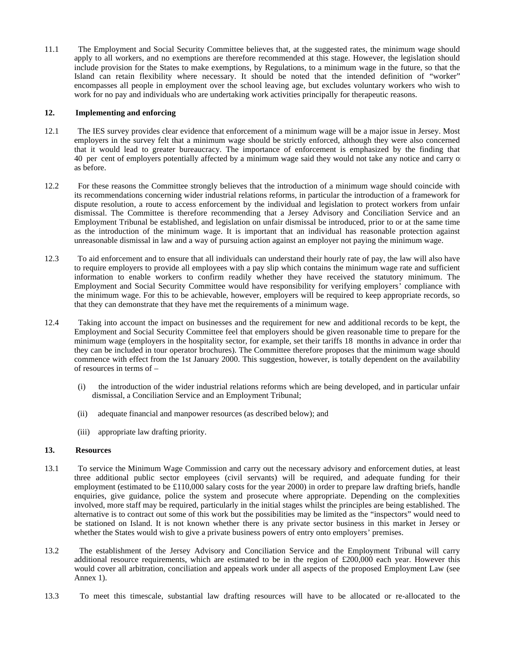11.1 The Employment and Social Security Committee believes that, at the suggested rates, the minimum wage should apply to all workers, and no exemptions are therefore recommended at this stage. However, the legislation should include provision for the States to make exemptions, by Regulations, to a minimum wage in the future, so that the Island can retain flexibility where necessary. It should be noted that the intended definition of "worker" encompasses all people in employment over the school leaving age, but excludes voluntary workers who wish to work for no pay and individuals who are undertaking work activities principally for therapeutic reasons.

#### **12. Implementing and enforcing**

- 12.1 The IES survey provides clear evidence that enforcement of a minimum wage will be a major issue in Jersey. Most employers in the survey felt that a minimum wage should be strictly enforced, although they were also concerned that it would lead to greater bureaucracy. The importance of enforcement is emphasized by the finding that 40 per cent of employers potentially affected by a minimum wage said they would not take any notice and carry on as before.
- 12.2 For these reasons the Committee strongly believes that the introduction of a minimum wage should coincide with its recommendations concerning wider industrial relations reforms, in particular the introduction of a framework for dispute resolution, a route to access enforcement by the individual and legislation to protect workers from unfair dismissal. The Committee is therefore recommending that a Jersey Advisory and Conciliation Service and an Employment Tribunal be established, and legislation on unfair dismissal be introduced, prior to or at the same time as the introduction of the minimum wage. It is important that an individual has reasonable protection against unreasonable dismissal in law and a way of pursuing action against an employer not paying the minimum wage.
- 12.3 To aid enforcement and to ensure that all individuals can understand their hourly rate of pay, the law will also have to require employers to provide all employees with a pay slip which contains the minimum wage rate and sufficient information to enable workers to confirm readily whether they have received the statutory minimum. The Employment and Social Security Committee would have responsibility for verifying employers' compliance with the minimum wage. For this to be achievable, however, employers will be required to keep appropriate records, so that they can demonstrate that they have met the requirements of a minimum wage.
- 12.4 Taking into account the impact on businesses and the requirement for new and additional records to be kept, the Employment and Social Security Committee feel that employers should be given reasonable time to prepare for the minimum wage (employers in the hospitality sector, for example, set their tariffs 18 months in advance in order that they can be included in tour operator brochures). The Committee therefore proposes that the minimum wage should commence with effect from the 1st January 2000. This suggestion, however, is totally dependent on the availability of resources in terms of –
	- (i) the introduction of the wider industrial relations reforms which are being developed, and in particular unfair dismissal, a Conciliation Service and an Employment Tribunal;
	- (ii) adequate financial and manpower resources (as described below); and
	- (iii) appropriate law drafting priority.

#### **13. Resources**

- 13.1 To service the Minimum Wage Commission and carry out the necessary advisory and enforcement duties, at least three additional public sector employees (civil servants) will be required, and adequate funding for their employment (estimated to be  $\pounds110,000$  salary costs for the year 2000) in order to prepare law drafting briefs, handle enquiries, give guidance, police the system and prosecute where appropriate. Depending on the complexities involved, more staff may be required, particularly in the initial stages whilst the principles are being established. The alternative is to contract out some of this work but the possibilities may be limited as the "inspectors" would need to be stationed on Island. It is not known whether there is any private sector business in this market in Jersey or whether the States would wish to give a private business powers of entry onto employers' premises.
- 13.2 The establishment of the Jersey Advisory and Conciliation Service and the Employment Tribunal will carry additional resource requirements, which are estimated to be in the region of £200,000 each year. However this would cover all arbitration, conciliation and appeals work under all aspects of the proposed Employment Law (see Annex 1).
- 13.3 To meet this timescale, substantial law drafting resources will have to be allocated or re-allocated to the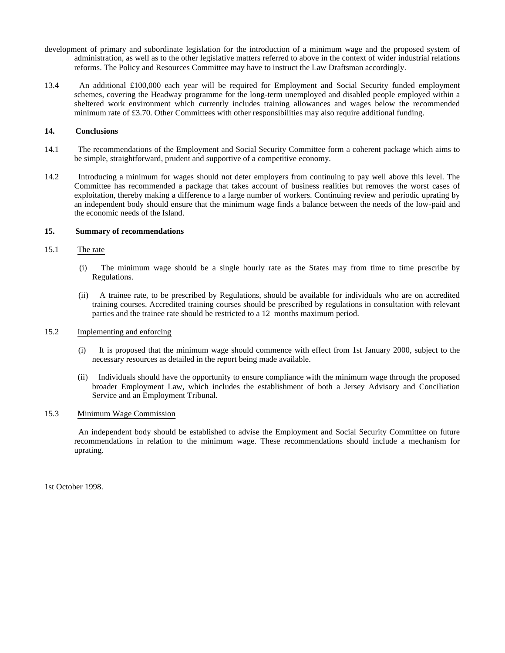- development of primary and subordinate legislation for the introduction of a minimum wage and the proposed system of administration, as well as to the other legislative matters referred to above in the context of wider industrial relations reforms. The Policy and Resources Committee may have to instruct the Law Draftsman accordingly.
- 13.4 An additional £100,000 each year will be required for Employment and Social Security funded employment schemes, covering the Headway programme for the long-term unemployed and disabled people employed within a sheltered work environment which currently includes training allowances and wages below the recommended minimum rate of £3.70. Other Committees with other responsibilities may also require additional funding.

### **14. Conclusions**

- 14.1 The recommendations of the Employment and Social Security Committee form a coherent package which aims to be simple, straightforward, prudent and supportive of a competitive economy.
- 14.2 Introducing a minimum for wages should not deter employers from continuing to pay well above this level. The Committee has recommended a package that takes account of business realities but removes the worst cases of exploitation, thereby making a difference to a large number of workers. Continuing review and periodic uprating by an independent body should ensure that the minimum wage finds a balance between the needs of the low-paid and the economic needs of the Island.

#### **15. Summary of recommendations**

### 15.1 The rate

- (i) The minimum wage should be a single hourly rate as the States may from time to time prescribe by Regulations.
- (ii) A trainee rate, to be prescribed by Regulations, should be available for individuals who are on accredited training courses. Accredited training courses should be prescribed by regulations in consultation with relevant parties and the trainee rate should be restricted to a 12 months maximum period.

#### 15.2 Implementing and enforcing

- (i) It is proposed that the minimum wage should commence with effect from 1st January 2000, subject to the necessary resources as detailed in the report being made available.
- (ii) Individuals should have the opportunity to ensure compliance with the minimum wage through the proposed broader Employment Law, which includes the establishment of both a Jersey Advisory and Conciliation Service and an Employment Tribunal.

#### 15.3 Minimum Wage Commission

 An independent body should be established to advise the Employment and Social Security Committee on future recommendations in relation to the minimum wage. These recommendations should include a mechanism for uprating.

1st October 1998.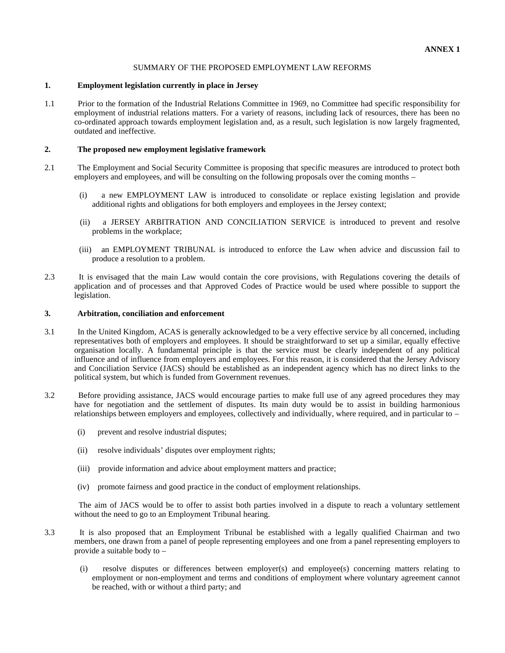#### SUMMARY OF THE PROPOSED EMPLOYMENT LAW REFORMS

#### **1. Employment legislation currently in place in Jersey**

1.1 Prior to the formation of the Industrial Relations Committee in 1969, no Committee had specific responsibility for employment of industrial relations matters. For a variety of reasons, including lack of resources, there has been no co-ordinated approach towards employment legislation and, as a result, such legislation is now largely fragmented, outdated and ineffective.

## **2. The proposed new employment legislative framework**

- 2.1 The Employment and Social Security Committee is proposing that specific measures are introduced to protect both employers and employees, and will be consulting on the following proposals over the coming months –
	- (i) a new EMPLOYMENT LAW is introduced to consolidate or replace existing legislation and provide additional rights and obligations for both employers and employees in the Jersey context;
	- (ii) a JERSEY ARBITRATION AND CONCILIATION SERVICE is introduced to prevent and resolve problems in the workplace;
	- (iii) an EMPLOYMENT TRIBUNAL is introduced to enforce the Law when advice and discussion fail to produce a resolution to a problem.
- 2.3 It is envisaged that the main Law would contain the core provisions, with Regulations covering the details of application and of processes and that Approved Codes of Practice would be used where possible to support the legislation.

#### **3. Arbitration, conciliation and enforcement**

- 3.1 In the United Kingdom, ACAS is generally acknowledged to be a very effective service by all concerned, including representatives both of employers and employees. It should be straightforward to set up a similar, equally effective organisation locally. A fundamental principle is that the service must be clearly independent of any political influence and of influence from employers and employees. For this reason, it is considered that the Jersey Advisory and Conciliation Service (JACS) should be established as an independent agency which has no direct links to the political system, but which is funded from Government revenues.
- 3.2 Before providing assistance, JACS would encourage parties to make full use of any agreed procedures they may have for negotiation and the settlement of disputes. Its main duty would be to assist in building harmonious relationships between employers and employees, collectively and individually, where required, and in particular to –
	- (i) prevent and resolve industrial disputes;
	- (ii) resolve individuals' disputes over employment rights;
	- (iii) provide information and advice about employment matters and practice;
	- (iv) promote fairness and good practice in the conduct of employment relationships.

 The aim of JACS would be to offer to assist both parties involved in a dispute to reach a voluntary settlement without the need to go to an Employment Tribunal hearing.

- 3.3 It is also proposed that an Employment Tribunal be established with a legally qualified Chairman and two members, one drawn from a panel of people representing employees and one from a panel representing employers to provide a suitable body to –
	- (i) resolve disputes or differences between employer(s) and employee(s) concerning matters relating to employment or non-employment and terms and conditions of employment where voluntary agreement cannot be reached, with or without a third party; and